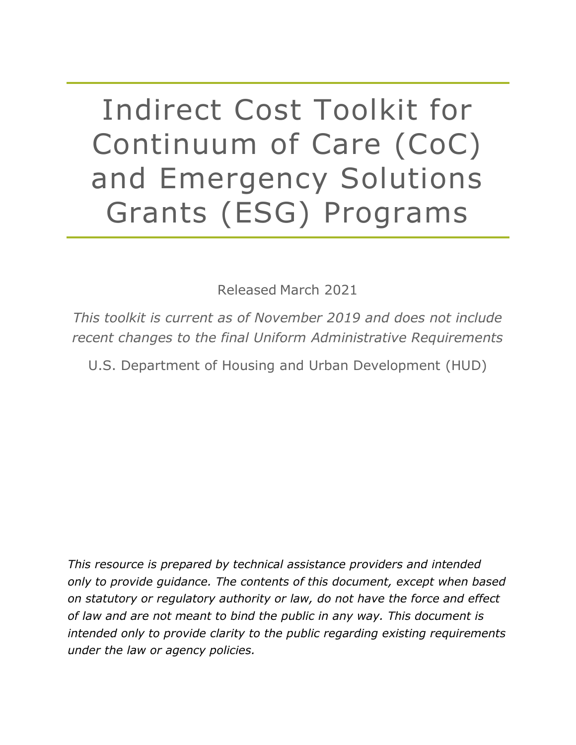Indirect Cost Toolkit for Continuum of Care (CoC) and Emergency Solutions Grants (ESG) Programs

Released March 2021

*This toolkit is current as of November 2019 and does not include recent changes to the final Uniform Administrative Requirements* 

U.S. Department of Housing and Urban Development (HUD)

*This resource is prepared by technical assistance providers and intended only to provide guidance. The contents of this document, except when based on statutory or regulatory authority or law, do not have the force and effect of law and are not meant to bind the public in any way. This document is intended only to provide clarity to the public regarding existing requirements under the law or agency policies.*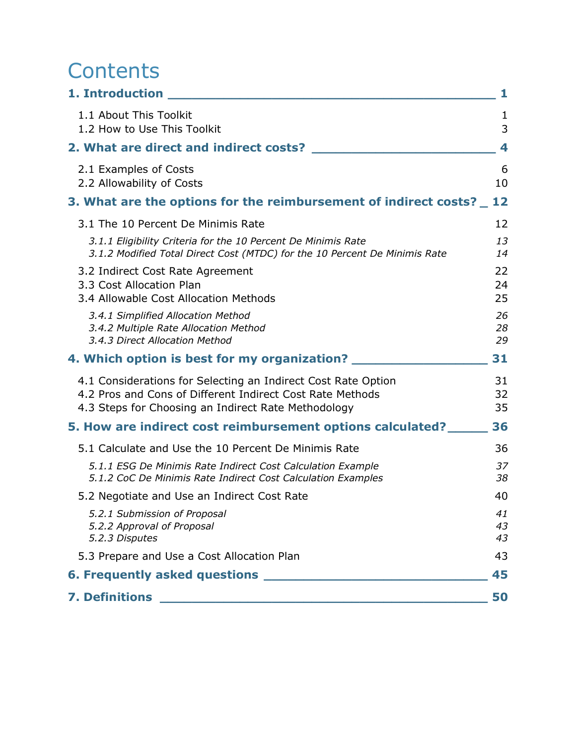# **Contents**

| 1. Introduction                                                                                                                                                                   | 1              |
|-----------------------------------------------------------------------------------------------------------------------------------------------------------------------------------|----------------|
| 1.1 About This Toolkit<br>1.2 How to Use This Toolkit                                                                                                                             | 1<br>3         |
| 2. What are direct and indirect costs?                                                                                                                                            | 4              |
| 2.1 Examples of Costs<br>2.2 Allowability of Costs                                                                                                                                | 6<br>10        |
| 3. What are the options for the reimbursement of indirect costs?                                                                                                                  | 12             |
| 3.1 The 10 Percent De Minimis Rate                                                                                                                                                | 12             |
| 3.1.1 Eligibility Criteria for the 10 Percent De Minimis Rate<br>3.1.2 Modified Total Direct Cost (MTDC) for the 10 Percent De Minimis Rate                                       | 13<br>14       |
| 3.2 Indirect Cost Rate Agreement<br>3.3 Cost Allocation Plan<br>3.4 Allowable Cost Allocation Methods                                                                             | 22<br>24<br>25 |
| 3.4.1 Simplified Allocation Method<br>3.4.2 Multiple Rate Allocation Method<br>3.4.3 Direct Allocation Method                                                                     | 26<br>28<br>29 |
| 4. Which option is best for my organization? _______                                                                                                                              | 31             |
| 4.1 Considerations for Selecting an Indirect Cost Rate Option<br>4.2 Pros and Cons of Different Indirect Cost Rate Methods<br>4.3 Steps for Choosing an Indirect Rate Methodology | 31<br>32<br>35 |
| 5. How are indirect cost reimbursement options calculated?                                                                                                                        | 36             |
| 5.1 Calculate and Use the 10 Percent De Minimis Rate                                                                                                                              | 36             |
| 5.1.1 ESG De Minimis Rate Indirect Cost Calculation Example<br>5.1.2 CoC De Minimis Rate Indirect Cost Calculation Examples                                                       | 37<br>38       |
| 5.2 Negotiate and Use an Indirect Cost Rate                                                                                                                                       | 40             |
| 5.2.1 Submission of Proposal<br>5.2.2 Approval of Proposal<br>5.2.3 Disputes                                                                                                      | 41<br>43<br>43 |
| 5.3 Prepare and Use a Cost Allocation Plan                                                                                                                                        | 43             |
| 6. Frequently asked questions __                                                                                                                                                  | 45             |
| <b>7. Definitions</b>                                                                                                                                                             | 50             |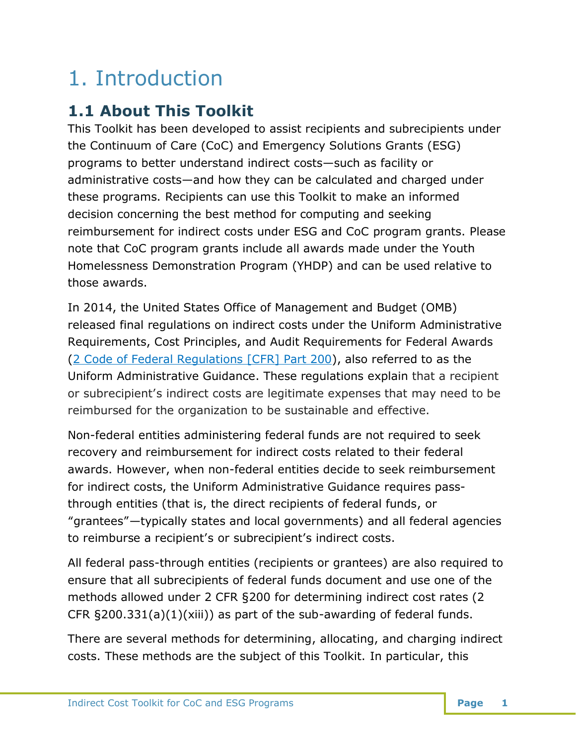# <span id="page-2-0"></span>1. Introduction

# <span id="page-2-1"></span>**1.1 About This Toolkit**

This Toolkit has been developed to assist recipients and subrecipients under the Continuum of Care (CoC) and Emergency Solutions Grants (ESG) programs to better understand indirect costs—such as facility or administrative costs—and how they can be calculated and charged under these programs. Recipients can use this Toolkit to make an informed decision concerning the best method for computing and seeking reimbursement for indirect costs under ESG and CoC program grants. Please note that CoC program grants include all awards made under the Youth Homelessness Demonstration Program (YHDP) and can be used relative to those awards.

In 2014, the United States Office of Management and Budget (OMB) released final regulations on indirect costs under the Uniform Administrative Requirements, Cost Principles, and Audit Requirements for Federal Awards [\(2 Code of Federal Regulations \[CFR\] Part](https://www.ecfr.gov/cgi-bin/text-idx?tpl=/ecfrbrowse/Title02/2cfr200_main_02.tpl) 200), also referred to as the Uniform Administrative Guidance. These regulations explain that a recipient or subrecipient's indirect costs are legitimate expenses that may need to be reimbursed for the organization to be sustainable and effective.

Non-federal entities administering federal funds are not required to seek recovery and reimbursement for indirect costs related to their federal awards. However, when non-federal entities decide to seek reimbursement for indirect costs, the Uniform Administrative Guidance requires passthrough entities (that is, the direct recipients of federal funds, or "grantees"—typically states and local governments) and all federal agencies to reimburse a recipient's or subrecipient's indirect costs.

All federal pass-through entities (recipients or grantees) are also required to ensure that all subrecipients of federal funds document and use one of the methods allowed under 2 CFR §200 for determining indirect cost rates (2 CFR §200.331(a)(1)(xiii)) as part of the sub-awarding of federal funds.

There are several methods for determining, allocating, and charging indirect costs. These methods are the subject of this Toolkit. In particular, this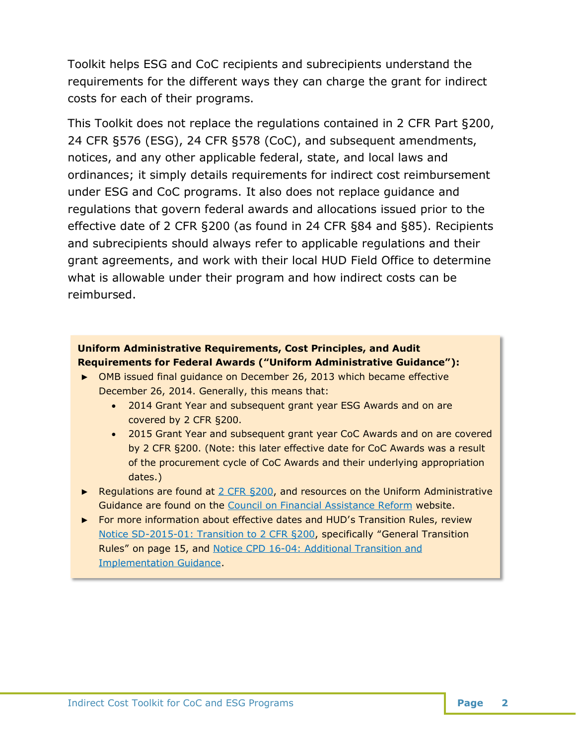Toolkit helps ESG and CoC recipients and subrecipients understand the requirements for the different ways they can charge the grant for indirect costs for each of their programs.

This Toolkit does not replace the regulations contained in 2 CFR Part §200, 24 CFR §576 (ESG), 24 CFR §578 (CoC), and subsequent amendments, notices, and any other applicable federal, state, and local laws and ordinances; it simply details requirements for indirect cost reimbursement under ESG and CoC programs. It also does not replace guidance and regulations that govern federal awards and allocations issued prior to the effective date of 2 CFR §200 (as found in 24 CFR §84 and §85). Recipients and subrecipients should always refer to applicable regulations and their grant agreements, and work with their local HUD Field Office to determine what is allowable under their program and how indirect costs can be reimbursed.

#### **Uniform Administrative Requirements, Cost Principles, and Audit Requirements for Federal Awards ("Uniform Administrative Guidance"):**

- ► OMB issued final guidance on December 26, 2013 which became effective December 26, 2014. Generally, this means that:
	- 2014 Grant Year and subsequent grant year ESG Awards and on are covered by 2 CFR §200.
	- 2015 Grant Year and subsequent grant year CoC Awards and on are covered by 2 CFR §200. (Note: this later effective date for CoC Awards was a result of the procurement cycle of CoC Awards and their underlying appropriation dates.)
- ► Regulations are found at 2 CFR §200, and resources on the Uniform Administrative Guidance are found on the Council on Financial Assistance Reform website.
- ► For more information about effective dates and HUD's Transition Rules, review Notice SD-2015-01: Transition to 2 CFR §200, specifically "General Transition Rules" on page 15, and Notice CPD 16-04: Additional Transition and Implementation Guidance.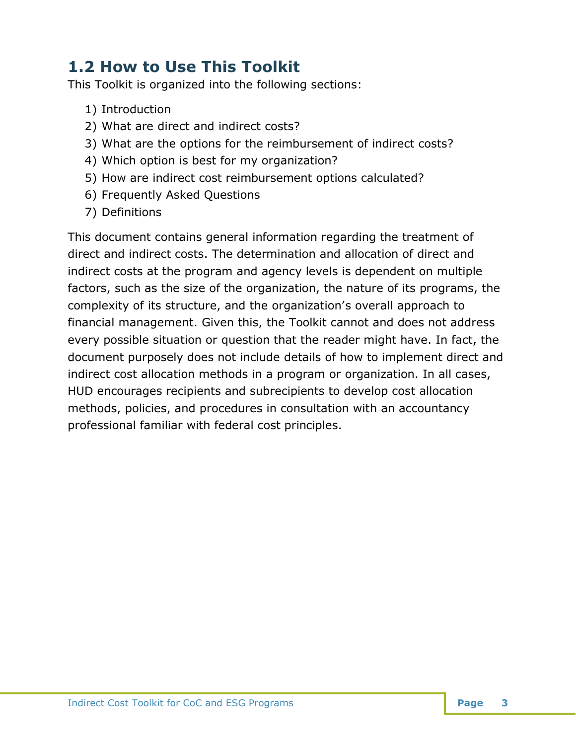# <span id="page-4-0"></span>**1.2 How to Use This Toolkit**

This Toolkit is organized into the following sections:

- 1) Introduction
- 2) What are direct and indirect costs?
- 3) What are the options for the reimbursement of indirect costs?
- 4) Which option is best for my organization?
- 5) How are indirect cost reimbursement options calculated?
- 6) Frequently Asked Questions
- 7) Definitions

This document contains general information regarding the treatment of direct and indirect costs. The determination and allocation of direct and indirect costs at the program and agency levels is dependent on multiple factors, such as the size of the organization, the nature of its programs, the complexity of its structure, and the organization's overall approach to financial management. Given this, the Toolkit cannot and does not address every possible situation or question that the reader might have. In fact, the document purposely does not include details of how to implement direct and indirect cost allocation methods in a program or organization. In all cases, HUD encourages recipients and subrecipients to develop cost allocation methods, policies, and procedures in consultation with an accountancy professional familiar with federal cost principles.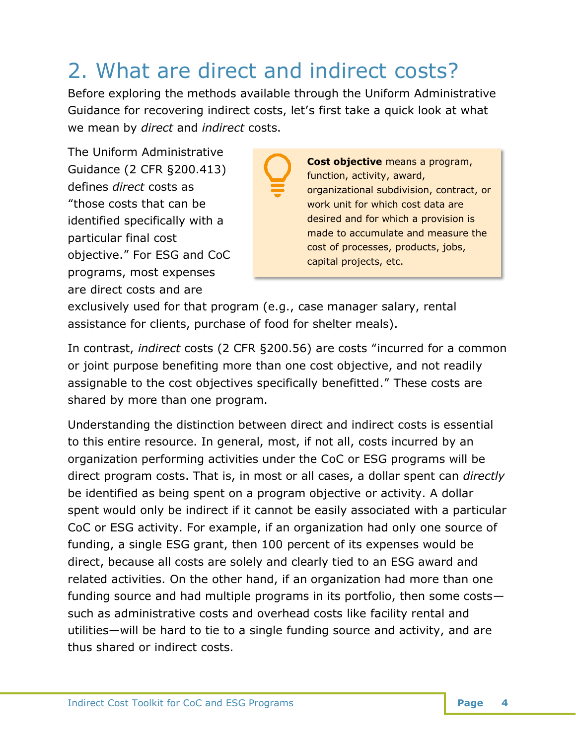# <span id="page-5-0"></span>2. What are direct and indirect costs?

Before exploring the methods available through the Uniform Administrative Guidance for recovering indirect costs, let's first take a quick look at what we mean by *direct* and *indirect* costs.

The Uniform Administrative Guidance (2 CFR §200.413) defines *direct* costs as "those costs that can be identified specifically with a particular final cost objective." For ESG and CoC programs, most expenses are direct costs and are

**Cost objective** means a program, function, activity, award, organizational subdivision, contract, or work unit for which cost data are desired and for which a provision is made to accumulate and measure the cost of processes, products, jobs, capital projects, etc.

exclusively used for that program (e.g., case manager salary, rental assistance for clients, purchase of food for shelter meals).

In contrast, *indirect* costs (2 CFR §200.56) are costs "incurred for a common or joint purpose benefiting more than one cost objective, and not readily assignable to the cost objectives specifically benefitted." These costs are shared by more than one program.

Understanding the distinction between direct and indirect costs is essential to this entire resource. In general, most, if not all, costs incurred by an organization performing activities under the CoC or ESG programs will be direct program costs. That is, in most or all cases, a dollar spent can *directly* be identified as being spent on a program objective or activity. A dollar spent would only be indirect if it cannot be easily associated with a particular CoC or ESG activity. For example, if an organization had only one source of funding, a single ESG grant, then 100 percent of its expenses would be direct, because all costs are solely and clearly tied to an ESG award and related activities. On the other hand, if an organization had more than one funding source and had multiple programs in its portfolio, then some costs such as administrative costs and overhead costs like facility rental and utilities—will be hard to tie to a single funding source and activity, and are thus shared or indirect costs.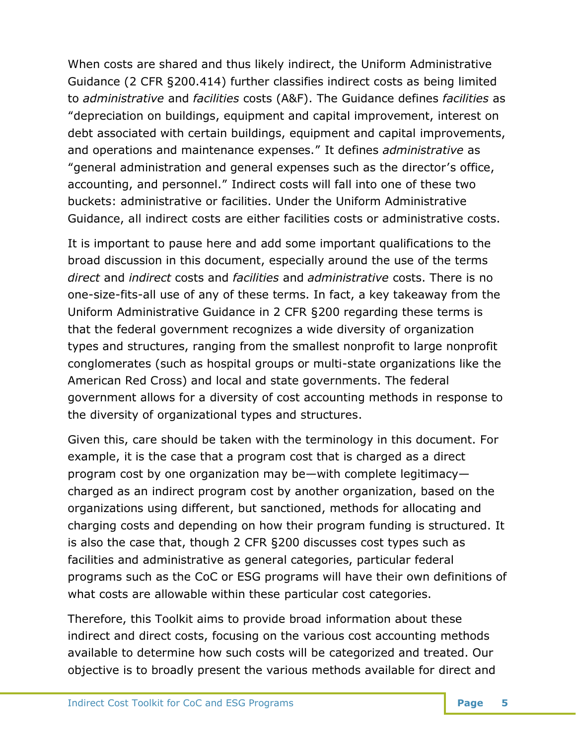When costs are shared and thus likely indirect, the Uniform Administrative Guidance (2 CFR §200.414) further classifies indirect costs as being limited to *administrative* and *facilities* costs (A&F). The Guidance defines *facilities* as "depreciation on buildings, equipment and capital improvement, interest on debt associated with certain buildings, equipment and capital improvements, and operations and maintenance expenses." It defines *administrative* as "general administration and general expenses such as the director's office, accounting, and personnel." Indirect costs will fall into one of these two buckets: administrative or facilities. Under the Uniform Administrative Guidance, all indirect costs are either facilities costs or administrative costs.

It is important to pause here and add some important qualifications to the broad discussion in this document, especially around the use of the terms *direct* and *indirect* costs and *facilities* and *administrative* costs. There is no one-size-fits-all use of any of these terms. In fact, a key takeaway from the Uniform Administrative Guidance in 2 CFR §200 regarding these terms is that the federal government recognizes a wide diversity of organization types and structures, ranging from the smallest nonprofit to large nonprofit conglomerates (such as hospital groups or multi-state organizations like the American Red Cross) and local and state governments. The federal government allows for a diversity of cost accounting methods in response to the diversity of organizational types and structures.

Given this, care should be taken with the terminology in this document. For example, it is the case that a program cost that is charged as a direct program cost by one organization may be—with complete legitimacy charged as an indirect program cost by another organization, based on the organizations using different, but sanctioned, methods for allocating and charging costs and depending on how their program funding is structured. It is also the case that, though 2 CFR §200 discusses cost types such as facilities and administrative as general categories, particular federal programs such as the CoC or ESG programs will have their own definitions of what costs are allowable within these particular cost categories.

Therefore, this Toolkit aims to provide broad information about these indirect and direct costs, focusing on the various cost accounting methods available to determine how such costs will be categorized and treated. Our objective is to broadly present the various methods available for direct and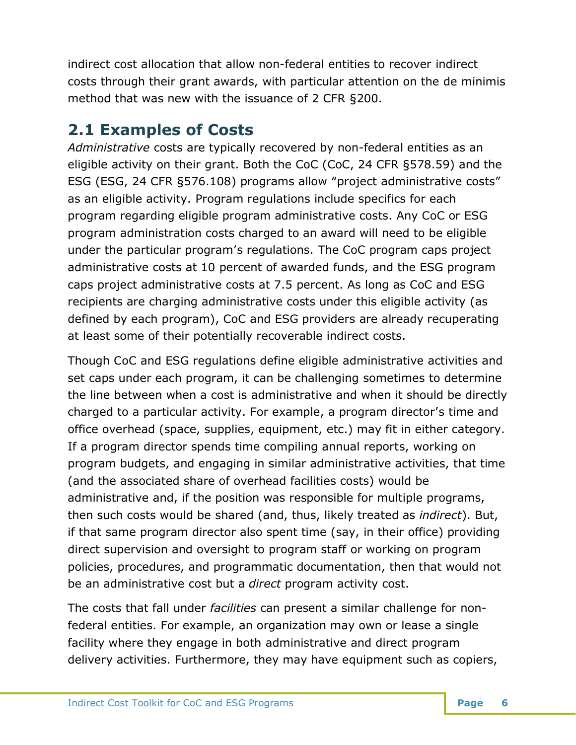indirect cost allocation that allow non-federal entities to recover indirect costs through their grant awards, with particular attention on the de minimis method that was new with the issuance of 2 CFR §200.

# <span id="page-7-0"></span>**2.1 Examples of Costs**

*Administrative* costs are typically recovered by non-federal entities as an eligible activity on their grant. Both the CoC (CoC, 24 CFR §578.59) and the ESG (ESG, 24 CFR §576.108) programs allow "project administrative costs" as an eligible activity. Program regulations include specifics for each program regarding eligible program administrative costs. Any CoC or ESG program administration costs charged to an award will need to be eligible under the particular program's regulations. The CoC program caps project administrative costs at 10 percent of awarded funds, and the ESG program caps project administrative costs at 7.5 percent. As long as CoC and ESG recipients are charging administrative costs under this eligible activity (as defined by each program), CoC and ESG providers are already recuperating at least some of their potentially recoverable indirect costs.

Though CoC and ESG regulations define eligible administrative activities and set caps under each program, it can be challenging sometimes to determine the line between when a cost is administrative and when it should be directly charged to a particular activity. For example, a program director's time and office overhead (space, supplies, equipment, etc.) may fit in either category. If a program director spends time compiling annual reports, working on program budgets, and engaging in similar administrative activities, that time (and the associated share of overhead facilities costs) would be administrative and, if the position was responsible for multiple programs, then such costs would be shared (and, thus, likely treated as *indirect*). But, if that same program director also spent time (say, in their office) providing direct supervision and oversight to program staff or working on program policies, procedures, and programmatic documentation, then that would not be an administrative cost but a *direct* program activity cost.

The costs that fall under *facilities* can present a similar challenge for nonfederal entities. For example, an organization may own or lease a single facility where they engage in both administrative and direct program delivery activities. Furthermore, they may have equipment such as copiers,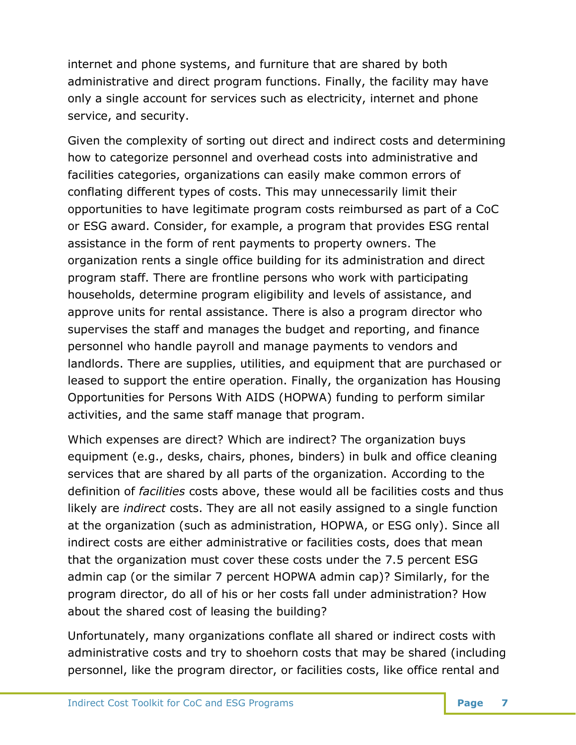internet and phone systems, and furniture that are shared by both administrative and direct program functions. Finally, the facility may have only a single account for services such as electricity, internet and phone service, and security.

Given the complexity of sorting out direct and indirect costs and determining how to categorize personnel and overhead costs into administrative and facilities categories, organizations can easily make common errors of conflating different types of costs. This may unnecessarily limit their opportunities to have legitimate program costs reimbursed as part of a CoC or ESG award. Consider, for example, a program that provides ESG rental assistance in the form of rent payments to property owners. The organization rents a single office building for its administration and direct program staff. There are frontline persons who work with participating households, determine program eligibility and levels of assistance, and approve units for rental assistance. There is also a program director who supervises the staff and manages the budget and reporting, and finance personnel who handle payroll and manage payments to vendors and landlords. There are supplies, utilities, and equipment that are purchased or leased to support the entire operation. Finally, the organization has Housing Opportunities for Persons With AIDS (HOPWA) funding to perform similar activities, and the same staff manage that program.

Which expenses are direct? Which are indirect? The organization buys equipment (e.g., desks, chairs, phones, binders) in bulk and office cleaning services that are shared by all parts of the organization. According to the definition of *facilities* costs above, these would all be facilities costs and thus likely are *indirect* costs. They are all not easily assigned to a single function at the organization (such as administration, HOPWA, or ESG only). Since all indirect costs are either administrative or facilities costs, does that mean that the organization must cover these costs under the 7.5 percent ESG admin cap (or the similar 7 percent HOPWA admin cap)? Similarly, for the program director, do all of his or her costs fall under administration? How about the shared cost of leasing the building?

Unfortunately, many organizations conflate all shared or indirect costs with administrative costs and try to shoehorn costs that may be shared (including personnel, like the program director, or facilities costs, like office rental and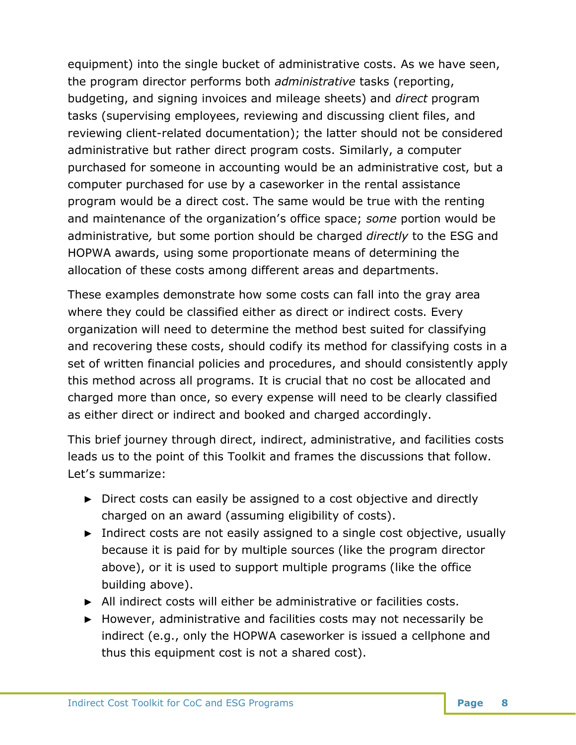equipment) into the single bucket of administrative costs. As we have seen, the program director performs both *administrative* tasks (reporting, budgeting, and signing invoices and mileage sheets) and *direct* program tasks (supervising employees, reviewing and discussing client files, and reviewing client-related documentation); the latter should not be considered administrative but rather direct program costs. Similarly, a computer purchased for someone in accounting would be an administrative cost, but a computer purchased for use by a caseworker in the rental assistance program would be a direct cost. The same would be true with the renting and maintenance of the organization's office space; *some* portion would be administrative*,* but some portion should be charged *directly* to the ESG and HOPWA awards, using some proportionate means of determining the allocation of these costs among different areas and departments.

These examples demonstrate how some costs can fall into the gray area where they could be classified either as direct or indirect costs. Every organization will need to determine the method best suited for classifying and recovering these costs, should codify its method for classifying costs in a set of written financial policies and procedures, and should consistently apply this method across all programs. It is crucial that no cost be allocated and charged more than once, so every expense will need to be clearly classified as either direct or indirect and booked and charged accordingly.

This brief journey through direct, indirect, administrative, and facilities costs leads us to the point of this Toolkit and frames the discussions that follow. Let's summarize:

- ► Direct costs can easily be assigned to a cost objective and directly charged on an award (assuming eligibility of costs).
- ► Indirect costs are not easily assigned to a single cost objective, usually because it is paid for by multiple sources (like the program director above), or it is used to support multiple programs (like the office building above).
- ► All indirect costs will either be administrative or facilities costs.
- ► However, administrative and facilities costs may not necessarily be indirect (e.g., only the HOPWA caseworker is issued a cellphone and thus this equipment cost is not a shared cost).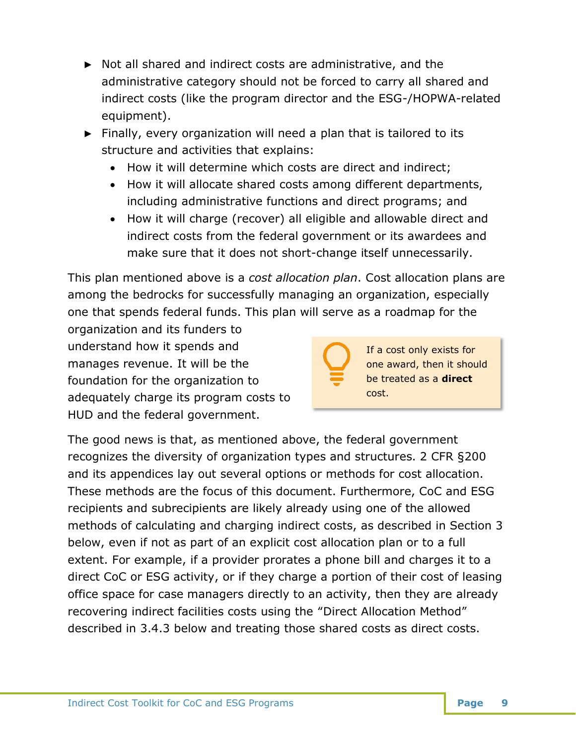- ► Not all shared and indirect costs are administrative, and the administrative category should not be forced to carry all shared and indirect costs (like the program director and the ESG-/HOPWA-related equipment).
- ► Finally, every organization will need a plan that is tailored to its structure and activities that explains:
	- How it will determine which costs are direct and indirect;
	- How it will allocate shared costs among different departments, including administrative functions and direct programs; and
	- How it will charge (recover) all eligible and allowable direct and indirect costs from the federal government or its awardees and make sure that it does not short-change itself unnecessarily.

This plan mentioned above is a *cost allocation plan*. Cost allocation plans are among the bedrocks for successfully managing an organization, especially one that spends federal funds. This plan will serve as a roadmap for the

organization and its funders to understand how it spends and manages revenue. It will be the foundation for the organization to adequately charge its program costs to HUD and the federal government.

If a cost only exists for one award, then it should be treated as a **direct** cost.

The good news is that, as mentioned above, the federal government recognizes the diversity of organization types and structures. 2 CFR §200 and its appendices lay out several options or methods for cost allocation. These methods are the focus of this document. Furthermore, CoC and ESG recipients and subrecipients are likely already using one of the allowed methods of calculating and charging indirect costs, as described in Section 3 below, even if not as part of an explicit cost allocation plan or to a full extent. For example, if a provider prorates a phone bill and charges it to a direct CoC or ESG activity, or if they charge a portion of their cost of leasing office space for case managers directly to an activity, then they are already recovering indirect facilities costs using the "Direct Allocation Method" described in 3.4.3 below and treating those shared costs as direct costs.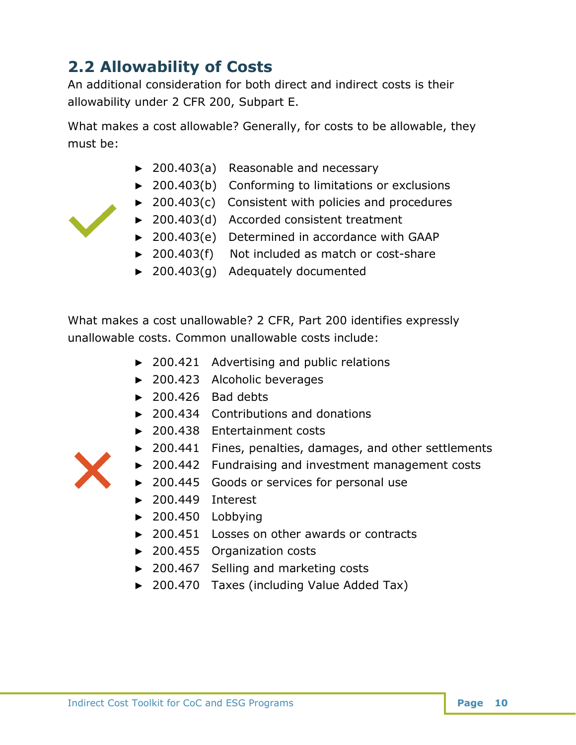# <span id="page-11-0"></span>**2.2 Allowability of Costs**

An additional consideration for both direct and indirect costs is their allowability under 2 CFR 200, Subpart E.

What makes a cost allowable? Generally, for costs to be allowable, they must be:

- ► 200.403(a) Reasonable and necessary
- ► 200.403(b) Conforming to limitations or exclusions
- ► 200.403(c) Consistent with policies and procedures
- ► 200.403(d) Accorded consistent treatment
- ► 200.403(e) Determined in accordance with GAAP
- ► 200.403(f) Not included as match or cost-share
- ► 200.403(g) Adequately documented

What makes a cost unallowable? 2 CFR, Part 200 identifies expressly unallowable costs. Common unallowable costs include:

- ► 200.421 Advertising and public relations
- ► 200.423 Alcoholic beverages
- $\blacktriangleright$  200.426 Bad debts
- ► 200.434 Contributions and donations
- ► 200.438 Entertainment costs
- ► 200.441 Fines, penalties, damages, and other settlements
- ► 200.442 Fundraising and investment management costs
- ► 200.445 Goods or services for personal use
- ► 200.449 Interest
- ► 200.450 Lobbying
- ► 200.451 Losses on other awards or contracts
- ► 200.455 Organization costs
- ► 200.467 Selling and marketing costs
- ► 200.470 Taxes (including Value Added Tax)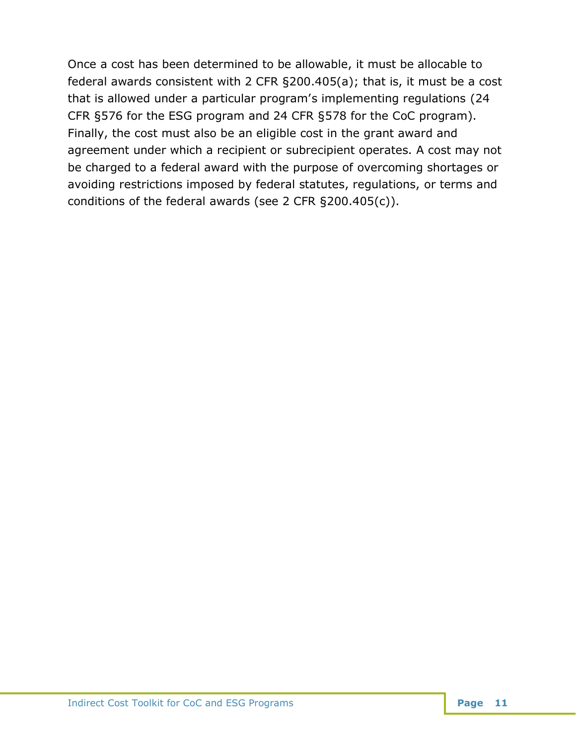Once a cost has been determined to be allowable, it must be allocable to federal awards consistent with 2 CFR §200.405(a); that is, it must be a cost that is allowed under a particular program's implementing regulations (24 CFR §576 for the ESG program and 24 CFR §578 for the CoC program). Finally, the cost must also be an eligible cost in the grant award and agreement under which a recipient or subrecipient operates. A cost may not be charged to a federal award with the purpose of overcoming shortages or avoiding restrictions imposed by federal statutes, regulations, or terms and conditions of the federal awards (see 2 CFR §200.405(c)).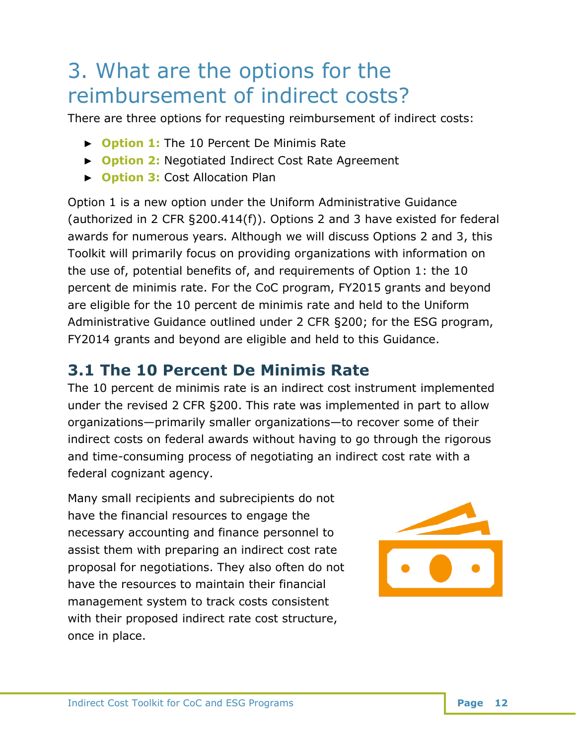# <span id="page-13-0"></span>3. What are the options for the reimbursement of indirect costs?

There are three options for requesting reimbursement of indirect costs:

- ► **Option 1:** The 10 Percent De Minimis Rate
- ► **Option 2:** Negotiated Indirect Cost Rate Agreement
- ► **Option 3:** Cost Allocation Plan

Option 1 is a new option under the Uniform Administrative Guidance (authorized in 2 CFR §200.414(f)). Options 2 and 3 have existed for federal awards for numerous years. Although we will discuss Options 2 and 3, this Toolkit will primarily focus on providing organizations with information on the use of, potential benefits of, and requirements of Option 1: the 10 percent de minimis rate. For the CoC program, FY2015 grants and beyond are eligible for the 10 percent de minimis rate and held to the Uniform Administrative Guidance outlined under 2 CFR §200; for the ESG program, FY2014 grants and beyond are eligible and held to this Guidance.

# <span id="page-13-1"></span>**3.1 The 10 Percent De Minimis Rate**

The 10 percent de minimis rate is an indirect cost instrument implemented under the revised 2 CFR §200. This rate was implemented in part to allow organizations—primarily smaller organizations—to recover some of their indirect costs on federal awards without having to go through the rigorous and time-consuming process of negotiating an indirect cost rate with a federal cognizant agency.

Many small recipients and subrecipients do not have the financial resources to engage the necessary accounting and finance personnel to assist them with preparing an indirect cost rate proposal for negotiations. They also often do not have the resources to maintain their financial management system to track costs consistent with their proposed indirect rate cost structure, once in place.

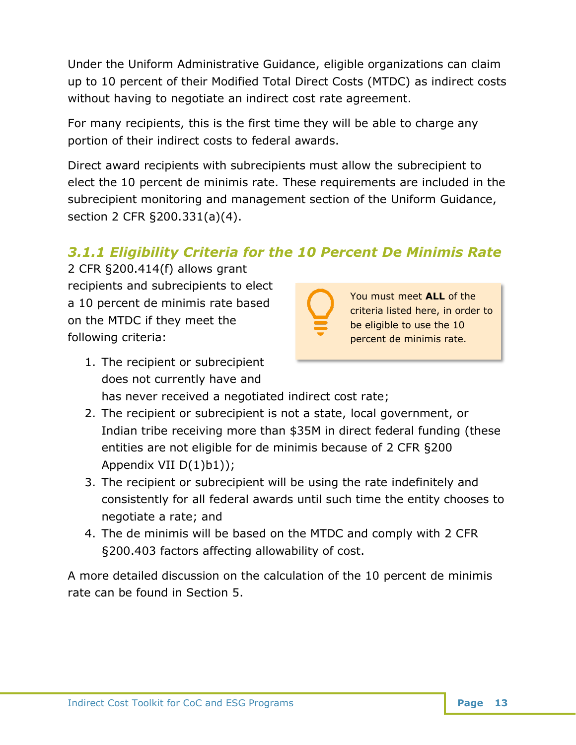Under the Uniform Administrative Guidance, eligible organizations can claim up to 10 percent of their Modified Total Direct Costs (MTDC) as indirect costs without having to negotiate an indirect cost rate agreement.

For many recipients, this is the first time they will be able to charge any portion of their indirect costs to federal awards.

Direct award recipients with subrecipients must allow the subrecipient to elect the 10 percent de minimis rate. These requirements are included in the subrecipient monitoring and management section of the Uniform Guidance, section 2 CFR §200.331(a)(4).

# <span id="page-14-0"></span>*3.1.1 Eligibility Criteria for the 10 Percent De Minimis Rate*

2 CFR §200.414(f) allows grant recipients and subrecipients to elect a 10 percent de minimis rate based on the MTDC if they meet the following criteria:

<span id="page-14-1"></span>

You must meet **ALL** of the criteria listed here, in order to be eligible to use the 10 percent de minimis rate.

- 1. The recipient or subrecipient does not currently have and has never received a negotiated indirect cost rate;
- 2. The recipient or subrecipient is not a state, local government, or Indian tribe receiving more than \$35M in direct federal funding (these entities are not eligible for de minimis because of 2 CFR §200 Appendix VII D(1)b1));
- 3. The recipient or subrecipient will be using the rate indefinitely and consistently for all federal awards until such time the entity chooses to negotiate a rate; and
- 4. The de minimis will be based on the MTDC and comply with 2 CFR §200.403 factors affecting allowability of cost.

A more detailed discussion on the calculation of the 10 percent de minimis rate can be found in Section 5.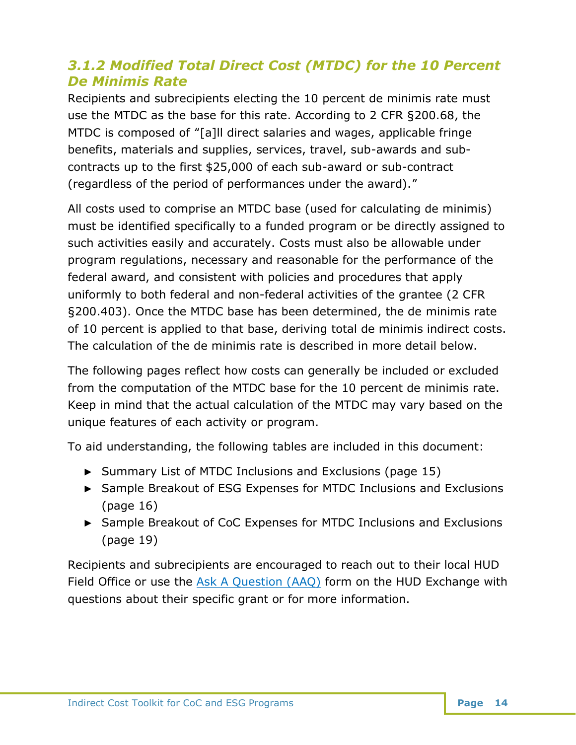# <span id="page-15-0"></span>*3.1.2 Modified Total Direct Cost (MTDC) for the 10 Percent De Minimis Rate*

Recipients and subrecipients electing the 10 percent de minimis rate must use the MTDC as the base for this rate. According to 2 CFR §200.68, the MTDC is composed of "[a]ll direct salaries and wages, applicable fringe benefits, materials and supplies, services, travel, sub-awards and subcontracts up to the first \$25,000 of each sub-award or sub-contract (regardless of the period of performances under the award)."

All costs used to comprise an MTDC base (used for calculating de minimis) must be identified specifically to a funded program or be directly assigned to such activities easily and accurately. Costs must also be allowable under program regulations, necessary and reasonable for the performance of the federal award, and consistent with policies and procedures that apply uniformly to both federal and non-federal activities of the grantee (2 CFR §200.403). Once the MTDC base has been determined, the de minimis rate of 10 percent is applied to that base, deriving total de minimis indirect costs. The calculation of the de minimis rate is described in more detail below.

The following pages reflect how costs can generally be included or excluded from the computation of the MTDC base for the 10 percent de minimis rate. Keep in mind that the actual calculation of the MTDC may vary based on the unique features of each activity or program.

To aid understanding, the following tables are included in this document:

- ► Summary List of MTDC Inclusions and Exclusions (page 15)
- ► Sample Breakout of ESG Expenses for MTDC Inclusions and Exclusions (page 16)
- ► Sample Breakout of CoC Expenses for MTDC Inclusions and Exclusions (page 19)

Recipients and subrecipients are encouraged to reach out to their local HUD Field Office or use the [Ask A Question \(AAQ\)](https://www.hudexchange.info/program-support/my-question/) form on the HUD Exchange with questions about their specific grant or for more information.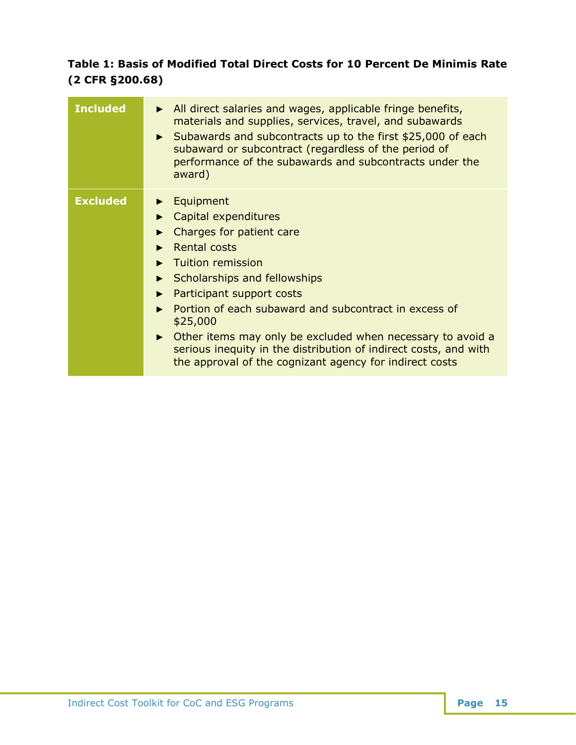## **Table 1: Basis of Modified Total Direct Costs for 10 Percent De Minimis Rate (2 CFR §200.68)**

| <b>Included</b> | $\triangleright$ All direct salaries and wages, applicable fringe benefits,<br>materials and supplies, services, travel, and subawards<br>► Subawards and subcontracts up to the first \$25,000 of each<br>subaward or subcontract (regardless of the period of<br>performance of the subawards and subcontracts under the<br>award)                                                                                                                                                           |
|-----------------|------------------------------------------------------------------------------------------------------------------------------------------------------------------------------------------------------------------------------------------------------------------------------------------------------------------------------------------------------------------------------------------------------------------------------------------------------------------------------------------------|
| <b>Excluded</b> | $\blacktriangleright$ Equipment<br>Capital expenditures<br>Charges for patient care<br>Rental costs<br><b>Tuition remission</b><br>Scholarships and fellowships<br>$\blacktriangleright$<br>Participant support costs<br>▶<br>Portion of each subaward and subcontract in excess of<br>\$25,000<br>• Other items may only be excluded when necessary to avoid a<br>serious inequity in the distribution of indirect costs, and with<br>the approval of the cognizant agency for indirect costs |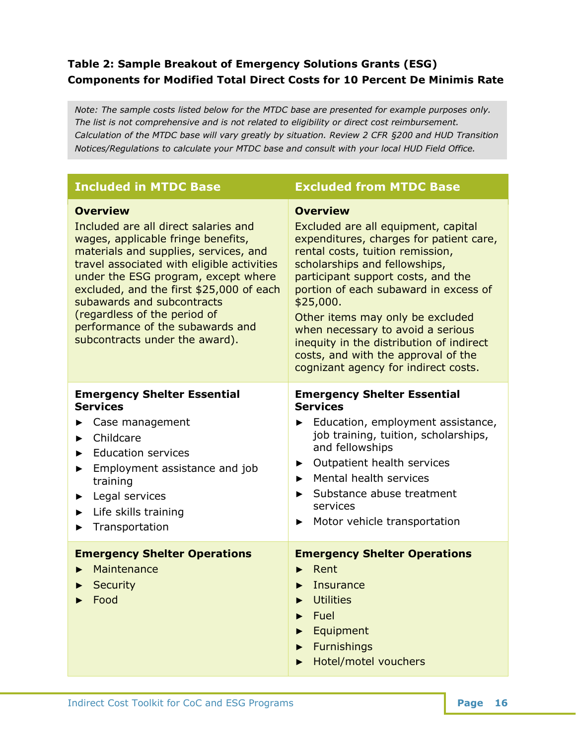### **Table 2: Sample Breakout of Emergency Solutions Grants (ESG) Components for Modified Total Direct Costs for 10 Percent De Minimis Rate**

*Note: The sample costs listed below for the MTDC base are presented for example purposes only. The list is not comprehensive and is not related to eligibility or direct cost reimbursement. Calculation of the MTDC base will vary greatly by situation. Review 2 CFR §200 and HUD Transition Notices/Regulations to calculate your MTDC base and consult with your local HUD Field Office.*

| <b>Included in MTDC Base</b>                                                                                                                                                                                                                                                                                                                                                                                | <b>Excluded from MTDC Base</b>                                                                                                                                                                                                                                                                                                                                                                                                                                         |
|-------------------------------------------------------------------------------------------------------------------------------------------------------------------------------------------------------------------------------------------------------------------------------------------------------------------------------------------------------------------------------------------------------------|------------------------------------------------------------------------------------------------------------------------------------------------------------------------------------------------------------------------------------------------------------------------------------------------------------------------------------------------------------------------------------------------------------------------------------------------------------------------|
| <b>Overview</b><br>Included are all direct salaries and<br>wages, applicable fringe benefits,<br>materials and supplies, services, and<br>travel associated with eligible activities<br>under the ESG program, except where<br>excluded, and the first \$25,000 of each<br>subawards and subcontracts<br>(regardless of the period of<br>performance of the subawards and<br>subcontracts under the award). | <b>Overview</b><br>Excluded are all equipment, capital<br>expenditures, charges for patient care,<br>rental costs, tuition remission,<br>scholarships and fellowships,<br>participant support costs, and the<br>portion of each subaward in excess of<br>\$25,000.<br>Other items may only be excluded<br>when necessary to avoid a serious<br>inequity in the distribution of indirect<br>costs, and with the approval of the<br>cognizant agency for indirect costs. |
| <b>Emergency Shelter Essential</b><br><b>Services</b><br>Case management<br>Childcare<br><b>Education services</b><br>Employment assistance and job<br>training<br>Legal services<br>Life skills training<br>Transportation                                                                                                                                                                                 | <b>Emergency Shelter Essential</b><br><b>Services</b><br>Education, employment assistance,<br>job training, tuition, scholarships,<br>and fellowships<br>Outpatient health services<br>▶<br>Mental health services<br>ь<br>Substance abuse treatment<br>▶<br>services<br>Motor vehicle transportation<br>▶                                                                                                                                                             |
| <b>Emergency Shelter Operations</b><br>Maintenance<br>Security<br>Food                                                                                                                                                                                                                                                                                                                                      | <b>Emergency Shelter Operations</b><br>Rent<br>Insurance<br><b>Utilities</b><br>Fuel<br>Equipment<br><b>Furnishings</b><br>Hotel/motel vouchers                                                                                                                                                                                                                                                                                                                        |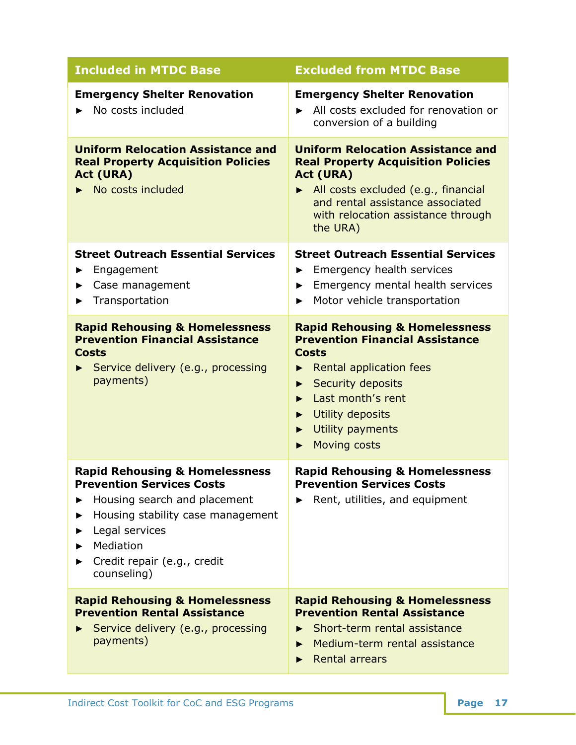| <b>Included in MTDC Base</b>                                                                                                                                                                                                    | <b>Excluded from MTDC Base</b>                                                                                                                                                                                                                           |
|---------------------------------------------------------------------------------------------------------------------------------------------------------------------------------------------------------------------------------|----------------------------------------------------------------------------------------------------------------------------------------------------------------------------------------------------------------------------------------------------------|
| <b>Emergency Shelter Renovation</b><br>No costs included                                                                                                                                                                        | <b>Emergency Shelter Renovation</b><br>All costs excluded for renovation or<br>conversion of a building                                                                                                                                                  |
| <b>Uniform Relocation Assistance and</b><br><b>Real Property Acquisition Policies</b><br><b>Act (URA)</b><br>$\triangleright$ No costs included                                                                                 | <b>Uniform Relocation Assistance and</b><br><b>Real Property Acquisition Policies</b><br><b>Act (URA)</b><br>All costs excluded (e.g., financial<br>and rental assistance associated<br>with relocation assistance through<br>the URA)                   |
| <b>Street Outreach Essential Services</b><br>Engagement<br>▶<br>Case management<br>Transportation                                                                                                                               | <b>Street Outreach Essential Services</b><br>Emergency health services<br>▶<br>Emergency mental health services<br>▶<br>Motor vehicle transportation<br>▶                                                                                                |
| <b>Rapid Rehousing &amp; Homelessness</b><br><b>Prevention Financial Assistance</b><br><b>Costs</b><br>Service delivery (e.g., processing<br>payments)                                                                          | <b>Rapid Rehousing &amp; Homelessness</b><br><b>Prevention Financial Assistance</b><br><b>Costs</b><br><b>Rental application fees</b><br><b>Security deposits</b><br>Last month's rent<br>ь<br>Utility deposits<br>Utility payments<br>Moving costs<br>▶ |
| <b>Rapid Rehousing &amp; Homelessness</b><br><b>Prevention Services Costs</b><br>Housing search and placement<br>Housing stability case management<br>Legal services<br>Mediation<br>Credit repair (e.g., credit<br>counseling) | <b>Rapid Rehousing &amp; Homelessness</b><br><b>Prevention Services Costs</b><br>Rent, utilities, and equipment                                                                                                                                          |
| <b>Rapid Rehousing &amp; Homelessness</b><br><b>Prevention Rental Assistance</b><br>Service delivery (e.g., processing<br>payments)                                                                                             | <b>Rapid Rehousing &amp; Homelessness</b><br><b>Prevention Rental Assistance</b><br>Short-term rental assistance<br>►<br>Medium-term rental assistance<br><b>Rental arrears</b>                                                                          |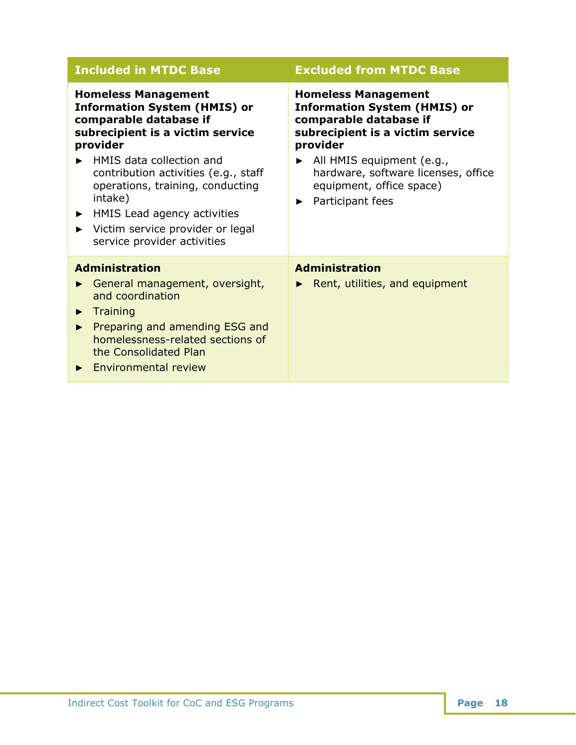| <b>Included in MTDC Base</b>                                                                                                                                                                                                                                                                                                                                                              | <b>Excluded from MTDC Base</b>                                                                                                                                                                                                                                                        |
|-------------------------------------------------------------------------------------------------------------------------------------------------------------------------------------------------------------------------------------------------------------------------------------------------------------------------------------------------------------------------------------------|---------------------------------------------------------------------------------------------------------------------------------------------------------------------------------------------------------------------------------------------------------------------------------------|
| <b>Homeless Management</b><br><b>Information System (HMIS) or</b><br>comparable database if<br>subrecipient is a victim service<br>provider<br>HMIS data collection and<br>contribution activities (e.g., staff<br>operations, training, conducting<br>intake)<br>HMIS Lead agency activities<br>$\blacktriangleright$<br>Victim service provider or legal<br>service provider activities | <b>Homeless Management</b><br><b>Information System (HMIS) or</b><br>comparable database if<br>subrecipient is a victim service<br>provider<br>$\blacktriangleright$ All HMIS equipment (e.g.,<br>hardware, software licenses, office<br>equipment, office space)<br>Participant fees |
| <b>Administration</b><br>General management, oversight,<br>and coordination<br>Training<br>▶<br>Preparing and amending ESG and<br>homelessness-related sections of<br>the Consolidated Plan<br><b>Environmental review</b>                                                                                                                                                                | <b>Administration</b><br>Rent, utilities, and equipment                                                                                                                                                                                                                               |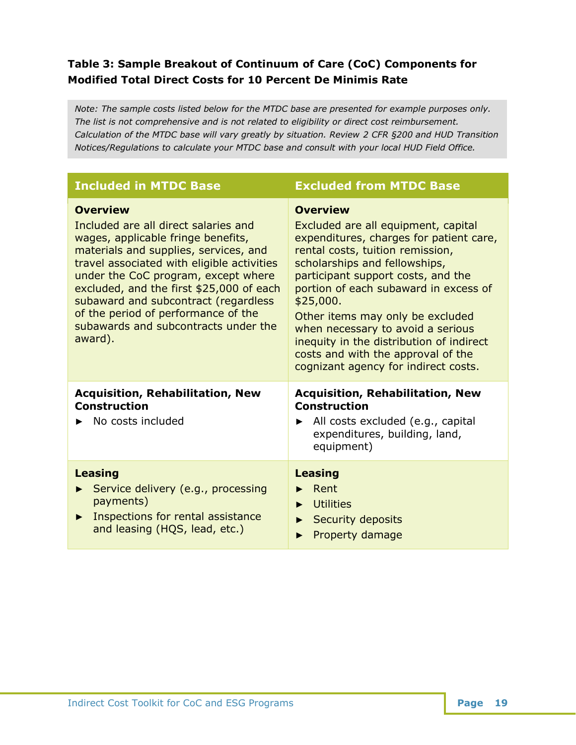## **Table 3: Sample Breakout of Continuum of Care (CoC) Components for Modified Total Direct Costs for 10 Percent De Minimis Rate**

*Note: The sample costs listed below for the MTDC base are presented for example purposes only. The list is not comprehensive and is not related to eligibility or direct cost reimbursement. Calculation of the MTDC base will vary greatly by situation. Review 2 CFR §200 and HUD Transition Notices/Regulations to calculate your MTDC base and consult with your local HUD Field Office.*

| <b>Included in MTDC Base</b>                                                                                                                                                                                                                                                                                                                                                                              | <b>Excluded from MTDC Base</b>                                                                                                                                                                                                                                                                                                                                                                                                                                        |
|-----------------------------------------------------------------------------------------------------------------------------------------------------------------------------------------------------------------------------------------------------------------------------------------------------------------------------------------------------------------------------------------------------------|-----------------------------------------------------------------------------------------------------------------------------------------------------------------------------------------------------------------------------------------------------------------------------------------------------------------------------------------------------------------------------------------------------------------------------------------------------------------------|
| <b>Overview</b><br>Included are all direct salaries and<br>wages, applicable fringe benefits,<br>materials and supplies, services, and<br>travel associated with eligible activities<br>under the CoC program, except where<br>excluded, and the first \$25,000 of each<br>subaward and subcontract (regardless<br>of the period of performance of the<br>subawards and subcontracts under the<br>award). | <b>Overview</b><br>Excluded are all equipment, capital<br>expenditures, charges for patient care,<br>rental costs, tuition remission,<br>scholarships and fellowships,<br>participant support costs, and the<br>portion of each subaward in excess of<br>\$25,000.<br>Other items may only be excluded<br>when necessary to avoid a serious<br>inequity in the distribution of indirect<br>costs and with the approval of the<br>cognizant agency for indirect costs. |
| <b>Acquisition, Rehabilitation, New</b><br><b>Construction</b><br>No costs included                                                                                                                                                                                                                                                                                                                       | <b>Acquisition, Rehabilitation, New</b><br><b>Construction</b><br>$\blacktriangleright$ All costs excluded (e.g., capital<br>expenditures, building, land,<br>equipment)                                                                                                                                                                                                                                                                                              |
| <b>Leasing</b><br>Service delivery (e.g., processing<br>payments)<br>Inspections for rental assistance<br>▶<br>and leasing (HQS, lead, etc.)                                                                                                                                                                                                                                                              | <b>Leasing</b><br>Rent<br><b>Utilities</b><br>▶<br><b>Security deposits</b><br>▶<br>Property damage                                                                                                                                                                                                                                                                                                                                                                   |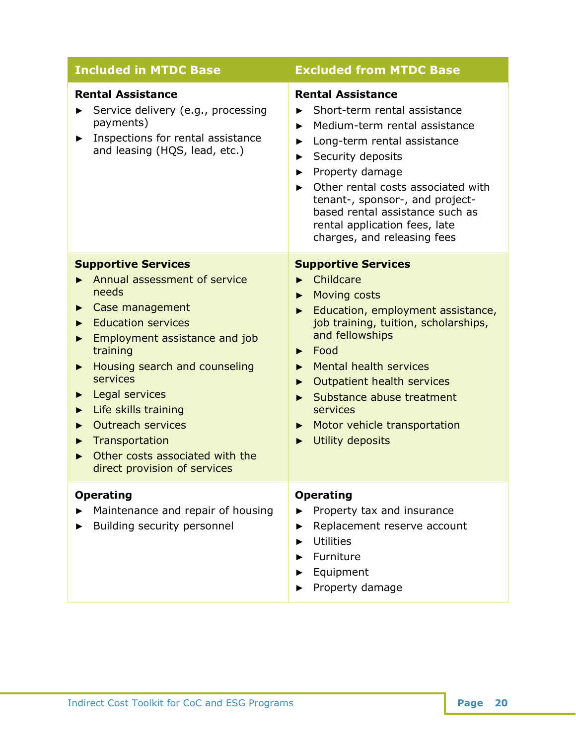| <b>Included in MTDC Base</b>                                                                                                                                                                                                                                                                                                                                           | <b>Excluded from MTDC Base</b>                                                                                                                                                                                                                                                                                                                                                                   |
|------------------------------------------------------------------------------------------------------------------------------------------------------------------------------------------------------------------------------------------------------------------------------------------------------------------------------------------------------------------------|--------------------------------------------------------------------------------------------------------------------------------------------------------------------------------------------------------------------------------------------------------------------------------------------------------------------------------------------------------------------------------------------------|
| <b>Rental Assistance</b><br>Service delivery (e.g., processing<br>payments)<br>Inspections for rental assistance<br>and leasing (HQS, lead, etc.)                                                                                                                                                                                                                      | <b>Rental Assistance</b><br>Short-term rental assistance<br>Medium-term rental assistance<br>▶<br>Long-term rental assistance<br>Security deposits<br>▶<br>Property damage<br>▶<br>Other rental costs associated with<br>▶<br>tenant-, sponsor-, and project-<br>based rental assistance such as<br>rental application fees, late<br>charges, and releasing fees                                 |
| <b>Supportive Services</b><br>Annual assessment of service<br>needs<br>Case management<br><b>Education services</b><br>Employment assistance and job<br>training<br>Housing search and counseling<br>▶<br>services<br>Legal services<br>Life skills training<br>Outreach services<br>Transportation<br>Other costs associated with the<br>direct provision of services | <b>Supportive Services</b><br>$\blacktriangleright$ Childcare<br><b>Moving costs</b><br>▶<br>Education, employment assistance,<br>job training, tuition, scholarships,<br>and fellowships<br>$\blacktriangleright$ Food<br>Mental health services<br>Outpatient health services<br>▶<br>Substance abuse treatment<br>▶<br>services<br>Motor vehicle transportation<br>▶<br>Utility deposits<br>▶ |
| <b>Operating</b><br>Maintenance and repair of housing<br>Building security personnel                                                                                                                                                                                                                                                                                   | <b>Operating</b><br>Property tax and insurance<br>Replacement reserve account<br>▶<br><b>Utilities</b><br>Furniture<br>Equipment<br>Property damage                                                                                                                                                                                                                                              |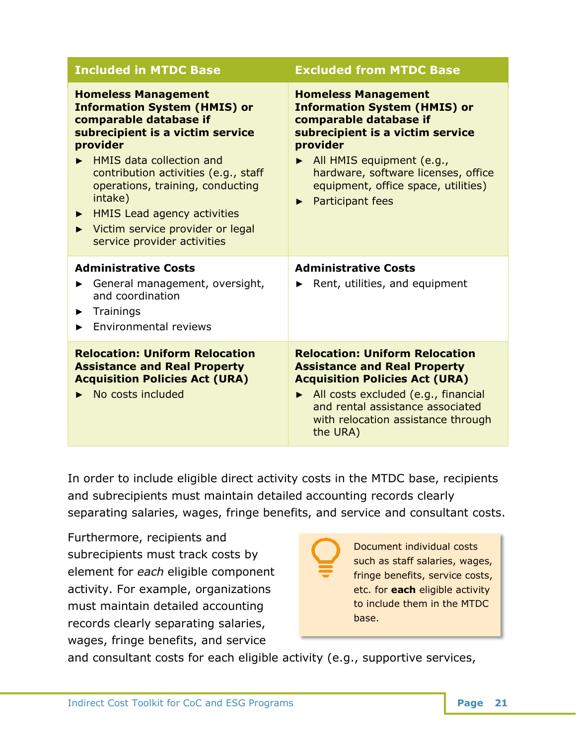| <b>Included in MTDC Base</b>                                                                                                                                                                                                                                                                                                                                                                                                | <b>Excluded from MTDC Base</b>                                                                                                                                                                                                                                                  |
|-----------------------------------------------------------------------------------------------------------------------------------------------------------------------------------------------------------------------------------------------------------------------------------------------------------------------------------------------------------------------------------------------------------------------------|---------------------------------------------------------------------------------------------------------------------------------------------------------------------------------------------------------------------------------------------------------------------------------|
| <b>Homeless Management</b><br><b>Information System (HMIS) or</b><br>comparable database if<br>subrecipient is a victim service<br>provider<br>$\blacktriangleright$ HMIS data collection and<br>contribution activities (e.g., staff<br>operations, training, conducting<br>intake)<br><b>HMIS Lead agency activities</b><br>▶<br>Victim service provider or legal<br>$\blacktriangleright$<br>service provider activities | <b>Homeless Management</b><br><b>Information System (HMIS) or</b><br>comparable database if<br>subrecipient is a victim service<br>provider<br>All HMIS equipment (e.g.,<br>hardware, software licenses, office<br>equipment, office space, utilities)<br>Participant fees<br>▶ |
| <b>Administrative Costs</b><br>General management, oversight,<br>▶<br>and coordination<br>Trainings<br>▶<br>Environmental reviews                                                                                                                                                                                                                                                                                           | <b>Administrative Costs</b><br>Rent, utilities, and equipment<br>▶                                                                                                                                                                                                              |
| <b>Relocation: Uniform Relocation</b><br><b>Assistance and Real Property</b><br><b>Acquisition Policies Act (URA)</b><br>No costs included                                                                                                                                                                                                                                                                                  | <b>Relocation: Uniform Relocation</b><br><b>Assistance and Real Property</b><br><b>Acquisition Policies Act (URA)</b><br>All costs excluded (e.g., financial<br>and rental assistance associated<br>with relocation assistance through<br>the URA)                              |

In order to include eligible direct activity costs in the MTDC base, recipients and subrecipients must maintain detailed accounting records clearly separating salaries, wages, fringe benefits, and service and consultant costs.

Furthermore, recipients and subrecipients must track costs by element for *each* eligible component activity. For example, organizations must maintain detailed accounting records clearly separating salaries, wages, fringe benefits, and service



Document individual costs such as staff salaries, wages, fringe benefits, service costs, etc. for **each** eligible activity to include them in the MTDC

and consultant costs for each eligible activity (e.g., supportive services,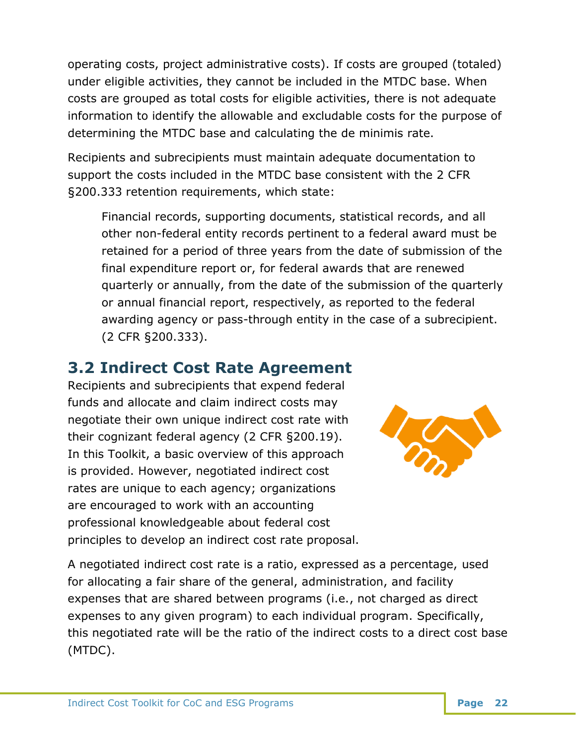operating costs, project administrative costs). If costs are grouped (totaled) under eligible activities, they cannot be included in the MTDC base. When costs are grouped as total costs for eligible activities, there is not adequate information to identify the allowable and excludable costs for the purpose of determining the MTDC base and calculating the de minimis rate.

Recipients and subrecipients must maintain adequate documentation to support the costs included in the MTDC base consistent with the 2 CFR §200.333 retention requirements, which state:

Financial records, supporting documents, statistical records, and all other non-federal entity records pertinent to a federal award must be retained for a period of three years from the date of submission of the final expenditure report or, for federal awards that are renewed quarterly or annually, from the date of the submission of the quarterly or annual financial report, respectively, as reported to the federal awarding agency or pass-through entity in the case of a subrecipient. (2 CFR §200.333).

# <span id="page-23-0"></span>**3.2 Indirect Cost Rate Agreement**

Recipients and subrecipients that expend federal funds and allocate and claim indirect costs may negotiate their own unique indirect cost rate with their cognizant federal agency (2 CFR §200.19). In this Toolkit, a basic overview of this approach is provided. However, negotiated indirect cost rates are unique to each agency; organizations are encouraged to work with an accounting professional knowledgeable about federal cost principles to develop an indirect cost rate proposal.



A negotiated indirect cost rate is a ratio, expressed as a percentage, used for allocating a fair share of the general, administration, and facility expenses that are shared between programs (i.e., not charged as direct expenses to any given program) to each individual program. Specifically, this negotiated rate will be the ratio of the indirect costs to a direct cost base (MTDC).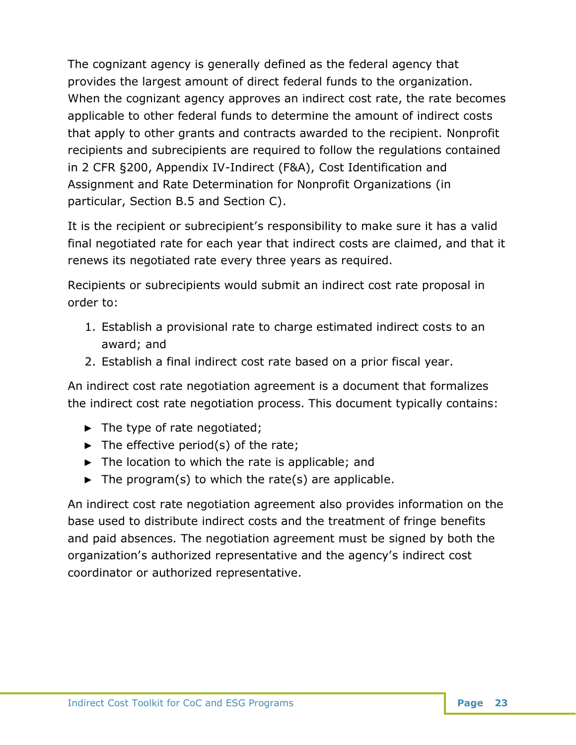The cognizant agency is generally defined as the federal agency that provides the largest amount of direct federal funds to the organization. When the cognizant agency approves an indirect cost rate, the rate becomes applicable to other federal funds to determine the amount of indirect costs that apply to other grants and contracts awarded to the recipient. Nonprofit recipients and subrecipients are required to follow the regulations contained in 2 CFR §200, Appendix IV-Indirect (F&A), Cost Identification and Assignment and Rate Determination for Nonprofit Organizations (in particular, Section B.5 and Section C).

It is the recipient or subrecipient's responsibility to make sure it has a valid final negotiated rate for each year that indirect costs are claimed, and that it renews its negotiated rate every three years as required.

Recipients or subrecipients would submit an indirect cost rate proposal in order to:

- 1. Establish a provisional rate to charge estimated indirect costs to an award; and
- 2. Establish a final indirect cost rate based on a prior fiscal year.

An indirect cost rate negotiation agreement is a document that formalizes the indirect cost rate negotiation process. This document typically contains:

- ► The type of rate negotiated;
- $\triangleright$  The effective period(s) of the rate;
- $\triangleright$  The location to which the rate is applicable; and
- $\blacktriangleright$  The program(s) to which the rate(s) are applicable.

An indirect cost rate negotiation agreement also provides information on the base used to distribute indirect costs and the treatment of fringe benefits and paid absences. The negotiation agreement must be signed by both the organization's authorized representative and the agency's indirect cost coordinator or authorized representative.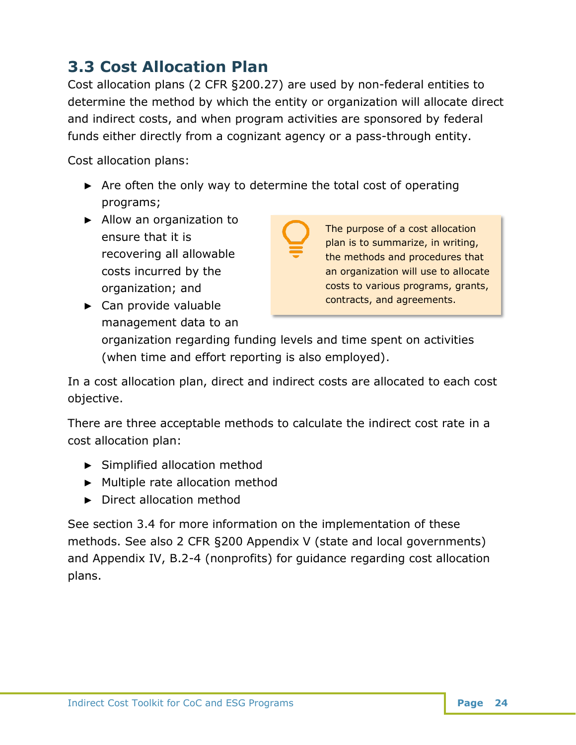# <span id="page-25-0"></span>**3.3 Cost Allocation Plan**

Cost allocation plans (2 CFR §200.27) are used by non-federal entities to determine the method by which the entity or organization will allocate direct and indirect costs, and when program activities are sponsored by federal funds either directly from a cognizant agency or a pass-through entity.

Cost allocation plans:

- ► Are often the only way to determine the total cost of operating programs;
- ► Allow an organization to ensure that it is recovering all allowable costs incurred by the organization; and

The purpose of a cost allocation plan is to summarize, in writing, the methods and procedures that an organization will use to allocate costs to various programs, grants, contracts, and agreements.

► Can provide valuable management data to an

> organization regarding funding levels and time spent on activities (when time and effort reporting is also employed).

In a cost allocation plan, direct and indirect costs are allocated to each cost objective.

There are three acceptable methods to calculate the indirect cost rate in a cost allocation plan:

- ► Simplified allocation method
- ► Multiple rate allocation method
- ► Direct allocation method

See section 3.4 for more information on the implementation of these methods. See also 2 CFR §200 Appendix V (state and local governments) and Appendix IV, B.2-4 (nonprofits) for guidance regarding cost allocation plans.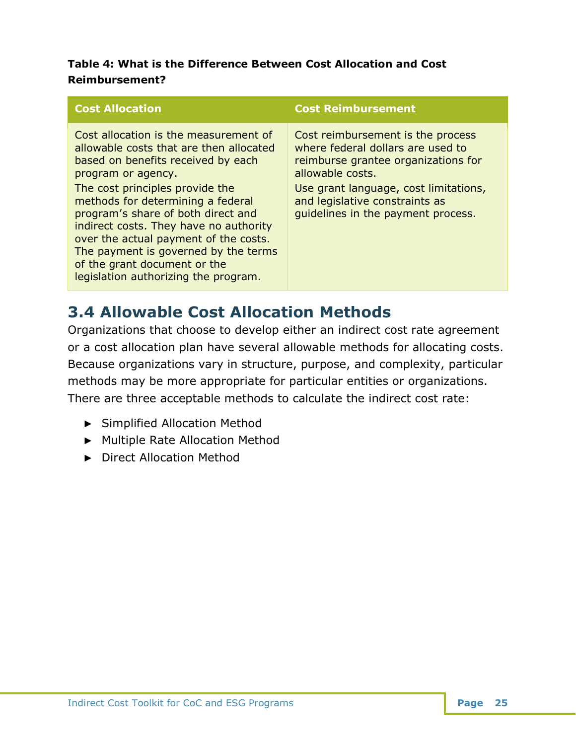### **Table 4: What is the Difference Between Cost Allocation and Cost Reimbursement?**

| <b>Cost Allocation</b>                                                                                                                                                                                                                                                                                                                                                                                                                                        | <b>Cost Reimbursement</b>                                                                                                                                                                                                                          |
|---------------------------------------------------------------------------------------------------------------------------------------------------------------------------------------------------------------------------------------------------------------------------------------------------------------------------------------------------------------------------------------------------------------------------------------------------------------|----------------------------------------------------------------------------------------------------------------------------------------------------------------------------------------------------------------------------------------------------|
| Cost allocation is the measurement of<br>allowable costs that are then allocated<br>based on benefits received by each<br>program or agency.<br>The cost principles provide the<br>methods for determining a federal<br>program's share of both direct and<br>indirect costs. They have no authority<br>over the actual payment of the costs.<br>The payment is governed by the terms<br>of the grant document or the<br>legislation authorizing the program. | Cost reimbursement is the process<br>where federal dollars are used to<br>reimburse grantee organizations for<br>allowable costs.<br>Use grant language, cost limitations,<br>and legislative constraints as<br>quidelines in the payment process. |

# <span id="page-26-0"></span>**3.4 Allowable Cost Allocation Methods**

Organizations that choose to develop either an indirect cost rate agreement or a cost allocation plan have several allowable methods for allocating costs. Because organizations vary in structure, purpose, and complexity, particular methods may be more appropriate for particular entities or organizations. There are three acceptable methods to calculate the indirect cost rate:

- ► Simplified Allocation Method
- ► Multiple Rate Allocation Method
- ► Direct Allocation Method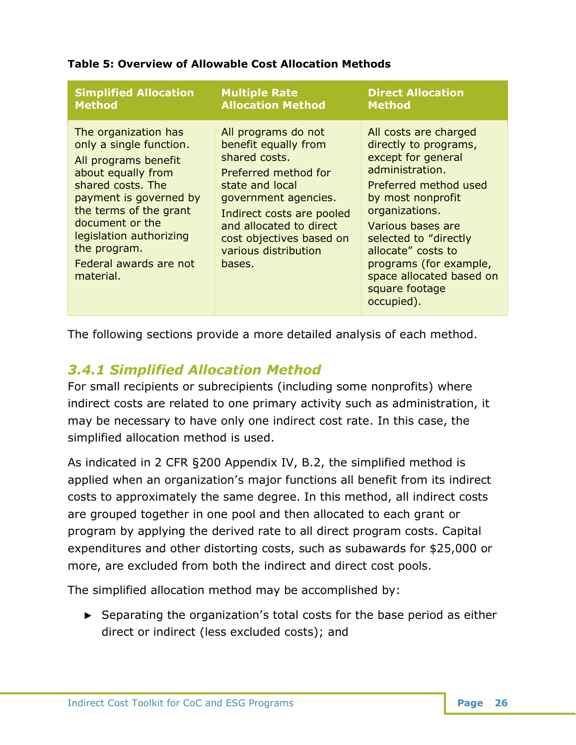| <b>Simplified Allocation</b>                                                                                                                                                                                                                                                | <b>Multiple Rate</b>                                                                                                                                                                                                                                  | <b>Direct Allocation</b>                                                                                                                                                                                                                                                                                          |
|-----------------------------------------------------------------------------------------------------------------------------------------------------------------------------------------------------------------------------------------------------------------------------|-------------------------------------------------------------------------------------------------------------------------------------------------------------------------------------------------------------------------------------------------------|-------------------------------------------------------------------------------------------------------------------------------------------------------------------------------------------------------------------------------------------------------------------------------------------------------------------|
| <b>Method</b>                                                                                                                                                                                                                                                               | <b>Allocation Method</b>                                                                                                                                                                                                                              | <b>Method</b>                                                                                                                                                                                                                                                                                                     |
| The organization has<br>only a single function.<br>All programs benefit<br>about equally from<br>shared costs. The<br>payment is governed by<br>the terms of the grant<br>document or the<br>legislation authorizing<br>the program.<br>Federal awards are not<br>material. | All programs do not<br>benefit equally from<br>shared costs.<br>Preferred method for<br>state and local<br>government agencies.<br>Indirect costs are pooled<br>and allocated to direct<br>cost objectives based on<br>various distribution<br>bases. | All costs are charged<br>directly to programs,<br>except for general<br>administration.<br>Preferred method used<br>by most nonprofit<br>organizations.<br>Various bases are<br>selected to "directly<br>allocate" costs to<br>programs (for example,<br>space allocated based on<br>square footage<br>occupied). |

#### **Table 5: Overview of Allowable Cost Allocation Methods**

The following sections provide a more detailed analysis of each method.

## <span id="page-27-0"></span>*3.4.1 Simplified Allocation Method*

For small recipients or subrecipients (including some nonprofits) where indirect costs are related to one primary activity such as administration, it may be necessary to have only one indirect cost rate. In this case, the simplified allocation method is used.

As indicated in 2 CFR §200 Appendix IV, B.2, the simplified method is applied when an organization's major functions all benefit from its indirect costs to approximately the same degree. In this method, all indirect costs are grouped together in one pool and then allocated to each grant or program by applying the derived rate to all direct program costs. Capital expenditures and other distorting costs, such as subawards for \$25,000 or more, are excluded from both the indirect and direct cost pools.

The simplified allocation method may be accomplished by:

► Separating the organization's total costs for the base period as either direct or indirect (less excluded costs); and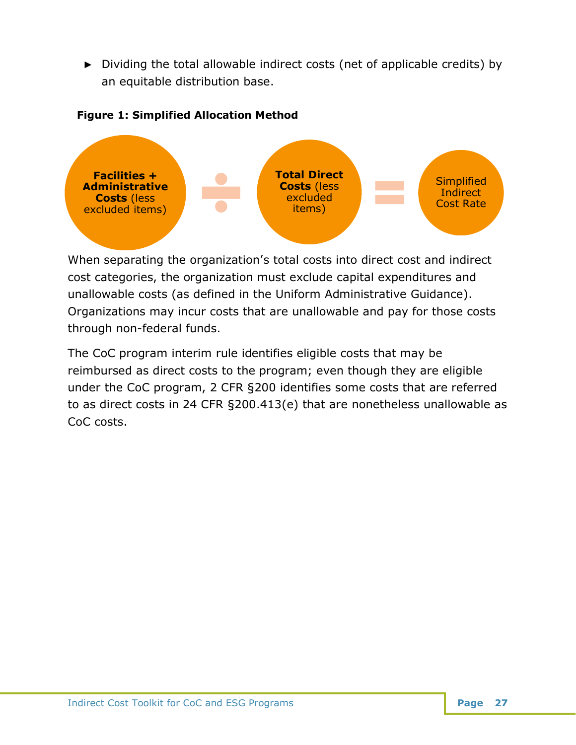► Dividing the total allowable indirect costs (net of applicable credits) by an equitable distribution base.

#### **Figure 1: Simplified Allocation Method**



When separating the organization's total costs into direct cost and indirect cost categories, the organization must exclude capital expenditures and unallowable costs (as defined in the Uniform Administrative Guidance). Organizations may incur costs that are unallowable and pay for those costs through non-federal funds.

The CoC program interim rule identifies eligible costs that may be reimbursed as direct costs to the program; even though they are eligible under the CoC program, 2 CFR §200 identifies some costs that are referred to as direct costs in 24 CFR §200.413(e) that are nonetheless unallowable as CoC costs.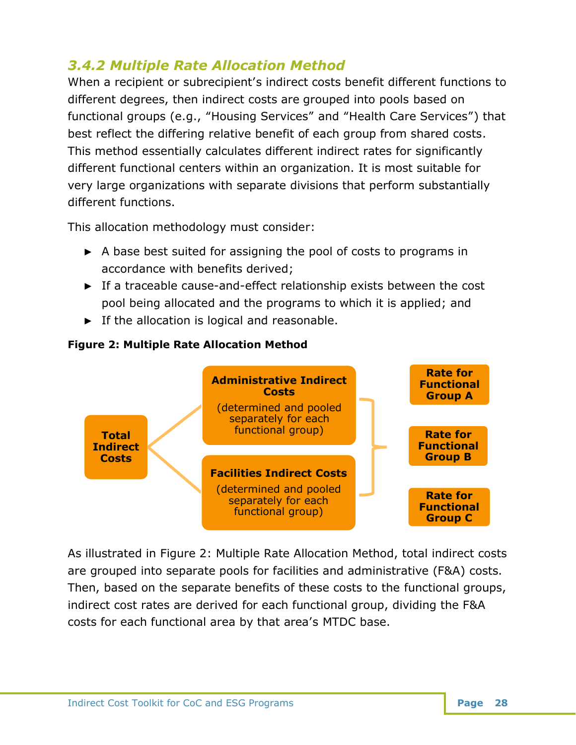# <span id="page-29-0"></span>*3.4.2 Multiple Rate Allocation Method*

When a recipient or subrecipient's indirect costs benefit different functions to different degrees, then indirect costs are grouped into pools based on functional groups (e.g., "Housing Services" and "Health Care Services") that best reflect the differing relative benefit of each group from shared costs. This method essentially calculates different indirect rates for significantly different functional centers within an organization. It is most suitable for very large organizations with separate divisions that perform substantially different functions.

This allocation methodology must consider:

- ► A base best suited for assigning the pool of costs to programs in accordance with benefits derived;
- ► If a traceable cause-and-effect relationship exists between the cost pool being allocated and the programs to which it is applied; and
- ► If the allocation is logical and reasonable.



#### **Figure 2: Multiple Rate Allocation Method**

As illustrated in Figure 2: Multiple Rate Allocation Method, total indirect costs are grouped into separate pools for facilities and administrative (F&A) costs. Then, based on the separate benefits of these costs to the functional groups, indirect cost rates are derived for each functional group, dividing the F&A costs for each functional area by that area's MTDC base.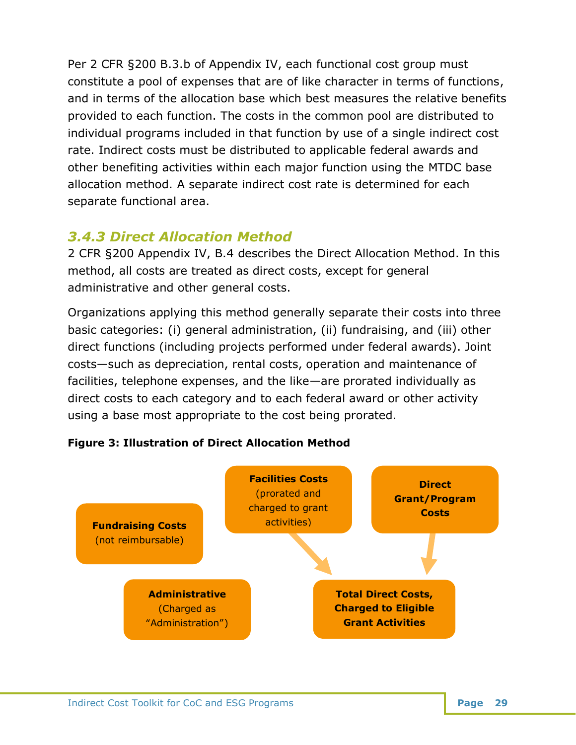Per 2 CFR §200 B.3.b of Appendix IV, each functional cost group must constitute a pool of expenses that are of like character in terms of functions, and in terms of the allocation base which best measures the relative benefits provided to each function. The costs in the common pool are distributed to individual programs included in that function by use of a single indirect cost rate. Indirect costs must be distributed to applicable federal awards and other benefiting activities within each major function using the MTDC base allocation method. A separate indirect cost rate is determined for each separate functional area.

# <span id="page-30-0"></span>*3.4.3 Direct Allocation Method*

2 CFR §200 Appendix IV, B.4 describes the Direct Allocation Method. In this method, all costs are treated as direct costs, except for general administrative and other general costs.

Organizations applying this method generally separate their costs into three basic categories: (i) general administration, (ii) fundraising, and (iii) other direct functions (including projects performed under federal awards). Joint costs—such as depreciation, rental costs, operation and maintenance of facilities, telephone expenses, and the like—are prorated individually as direct costs to each category and to each federal award or other activity using a base most appropriate to the cost being prorated.



**Figure 3: Illustration of Direct Allocation Method**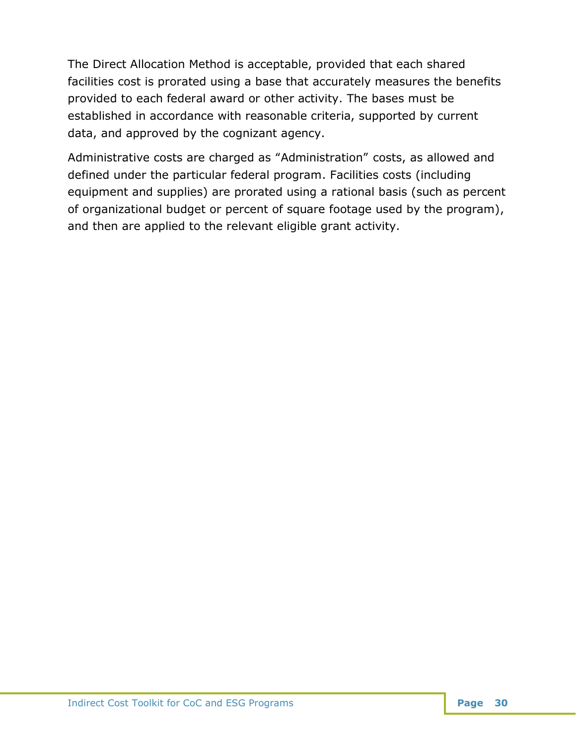The Direct Allocation Method is acceptable, provided that each shared facilities cost is prorated using a base that accurately measures the benefits provided to each federal award or other activity. The bases must be established in accordance with reasonable criteria, supported by current data, and approved by the cognizant agency.

Administrative costs are charged as "Administration" costs, as allowed and defined under the particular federal program. Facilities costs (including equipment and supplies) are prorated using a rational basis (such as percent of organizational budget or percent of square footage used by the program), and then are applied to the relevant eligible grant activity.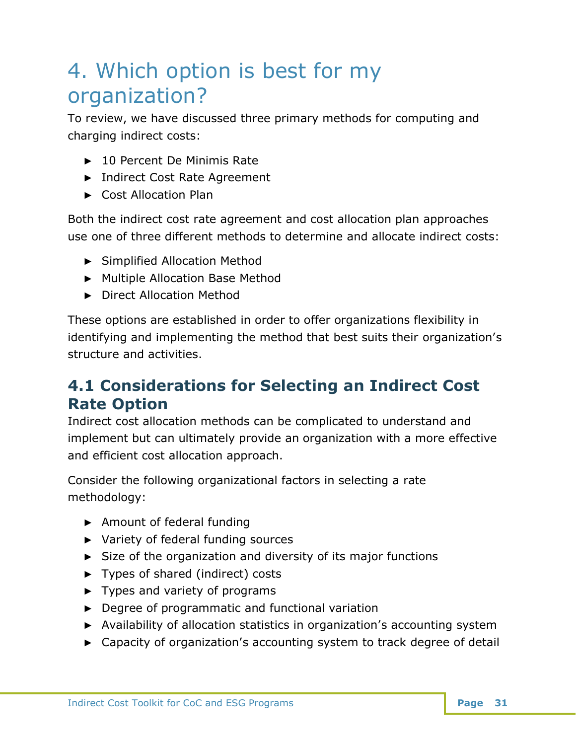# <span id="page-32-0"></span>4. Which option is best for my organization?

To review, we have discussed three primary methods for computing and charging indirect costs:

- ► 10 Percent De Minimis Rate
- ► Indirect Cost Rate Agreement
- ► Cost Allocation Plan

Both the indirect cost rate agreement and cost allocation plan approaches use one of three different methods to determine and allocate indirect costs:

- ► Simplified Allocation Method
- ► Multiple Allocation Base Method
- ► Direct Allocation Method

These options are established in order to offer organizations flexibility in identifying and implementing the method that best suits their organization's structure and activities.

# <span id="page-32-1"></span>**4.1 Considerations for Selecting an Indirect Cost Rate Option**

Indirect cost allocation methods can be complicated to understand and implement but can ultimately provide an organization with a more effective and efficient cost allocation approach.

Consider the following organizational factors in selecting a rate methodology:

- ► Amount of federal funding
- ► Variety of federal funding sources
- ► Size of the organization and diversity of its major functions
- ► Types of shared (indirect) costs
- ► Types and variety of programs
- ► Degree of programmatic and functional variation
- ► Availability of allocation statistics in organization's accounting system
- ► Capacity of organization's accounting system to track degree of detail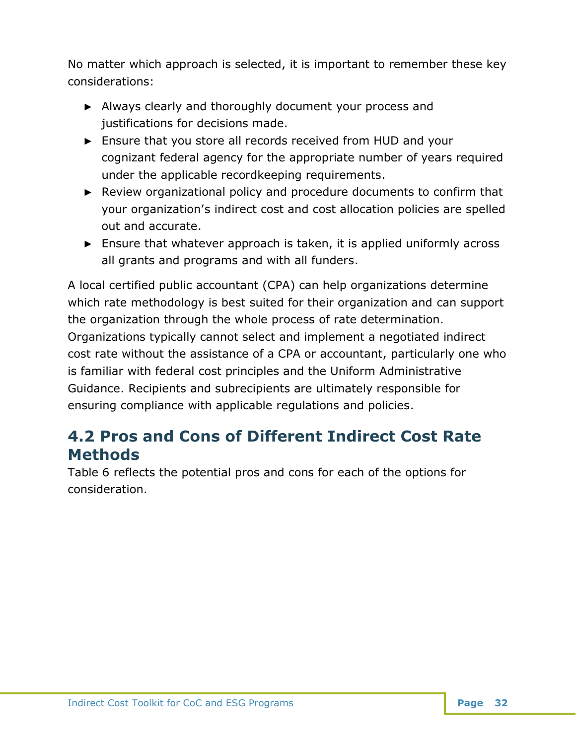No matter which approach is selected, it is important to remember these key considerations:

- ► Always clearly and thoroughly document your process and justifications for decisions made.
- ► Ensure that you store all records received from HUD and your cognizant federal agency for the appropriate number of years required under the applicable recordkeeping requirements.
- ► Review organizational policy and procedure documents to confirm that your organization's indirect cost and cost allocation policies are spelled out and accurate.
- ► Ensure that whatever approach is taken, it is applied uniformly across all grants and programs and with all funders.

A local certified public accountant (CPA) can help organizations determine which rate methodology is best suited for their organization and can support the organization through the whole process of rate determination. Organizations typically cannot select and implement a negotiated indirect cost rate without the assistance of a CPA or accountant, particularly one who is familiar with federal cost principles and the Uniform Administrative Guidance. Recipients and subrecipients are ultimately responsible for ensuring compliance with applicable regulations and policies.

# <span id="page-33-0"></span>**4.2 Pros and Cons of Different Indirect Cost Rate Methods**

Table 6 reflects the potential pros and cons for each of the options for consideration.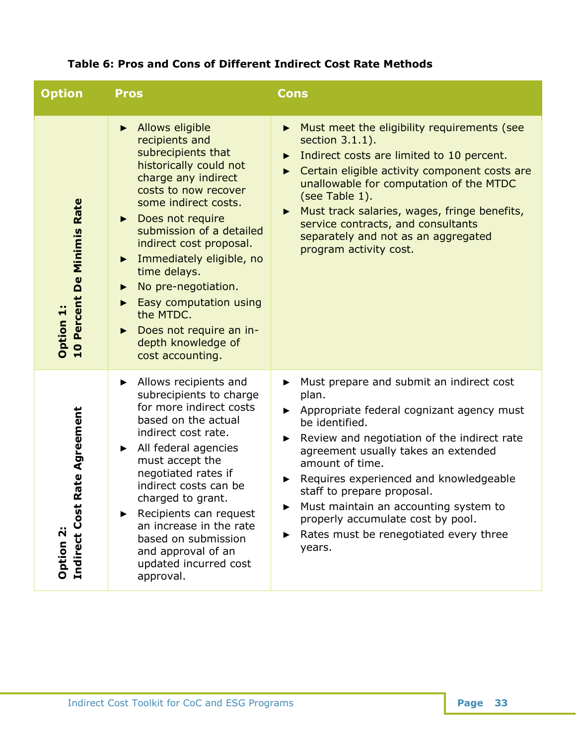| <b>Option</b>                                              | <b>Pros</b>                                                                                                                                                                                                                                                                                                                                                                                                                                                                 | <b>Cons</b>                                                                                                                                                                                                                                                                                                                                                                                                                                                                      |
|------------------------------------------------------------|-----------------------------------------------------------------------------------------------------------------------------------------------------------------------------------------------------------------------------------------------------------------------------------------------------------------------------------------------------------------------------------------------------------------------------------------------------------------------------|----------------------------------------------------------------------------------------------------------------------------------------------------------------------------------------------------------------------------------------------------------------------------------------------------------------------------------------------------------------------------------------------------------------------------------------------------------------------------------|
| Rate<br><b>De Minimis</b><br>10 Percent<br><b>Option 1</b> | Allows eligible<br>$\blacktriangleright$<br>recipients and<br>subrecipients that<br>historically could not<br>charge any indirect<br>costs to now recover<br>some indirect costs.<br>• Does not require<br>submission of a detailed<br>indirect cost proposal.<br>Immediately eligible, no<br>$\blacktriangleright$<br>time delays.<br>No pre-negotiation.<br>▶<br>Easy computation using<br>the MTDC.<br>Does not require an in-<br>depth knowledge of<br>cost accounting. | Must meet the eligibility requirements (see<br>$\blacktriangleright$<br>section 3.1.1).<br>Indirect costs are limited to 10 percent.<br>$\blacktriangleright$<br>Certain eligible activity component costs are<br>▶<br>unallowable for computation of the MTDC<br>(see Table 1).<br>Must track salaries, wages, fringe benefits,<br>$\blacktriangleright$<br>service contracts, and consultants<br>separately and not as an aggregated<br>program activity cost.                 |
| Rate Agreement<br>Indirect Cost<br>Option 2                | Allows recipients and<br>▶<br>subrecipients to charge<br>for more indirect costs<br>based on the actual<br>indirect cost rate.<br>All federal agencies<br>$\blacktriangleright$<br>must accept the<br>negotiated rates if<br>indirect costs can be<br>charged to grant.<br>Recipients can request<br>▶<br>an increase in the rate<br>based on submission<br>and approval of an<br>updated incurred cost<br>approval.                                                        | Must prepare and submit an indirect cost<br>▶<br>plan.<br>Appropriate federal cognizant agency must<br>▶<br>be identified.<br>Review and negotiation of the indirect rate<br>$\blacktriangleright$<br>agreement usually takes an extended<br>amount of time.<br>Requires experienced and knowledgeable<br>▶<br>staff to prepare proposal.<br>Must maintain an accounting system to<br>properly accumulate cost by pool.<br>Rates must be renegotiated every three<br>▶<br>years. |

## **Table 6: Pros and Cons of Different Indirect Cost Rate Methods**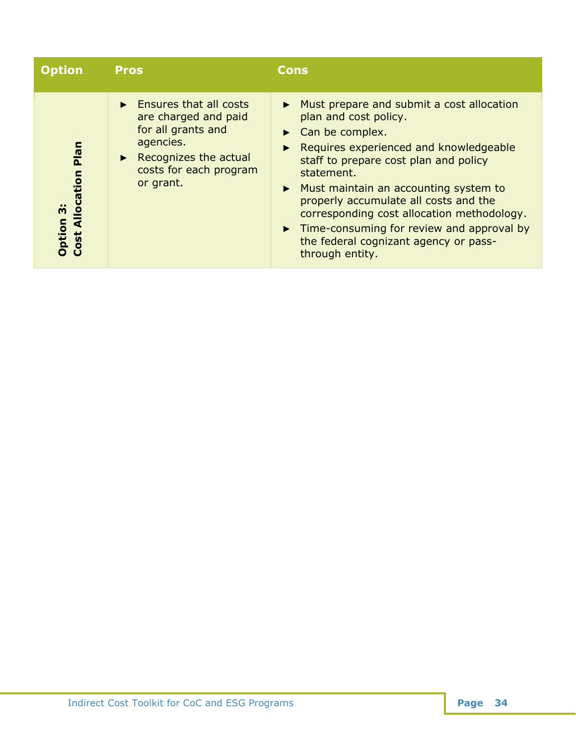<span id="page-35-0"></span>

| <b>Option</b>                                                   | <b>Pros</b>                                                                                                                                                                              | <b>Cons</b>                                                                                                                                                                                                                                                                                                                                                                                                                                                                          |
|-----------------------------------------------------------------|------------------------------------------------------------------------------------------------------------------------------------------------------------------------------------------|--------------------------------------------------------------------------------------------------------------------------------------------------------------------------------------------------------------------------------------------------------------------------------------------------------------------------------------------------------------------------------------------------------------------------------------------------------------------------------------|
| Plan<br><b>Cost Allocation</b><br>$\ddot{\mathbf{c}}$<br>Option | $\blacktriangleright$ Ensures that all costs<br>are charged and paid<br>for all grants and<br>agencies.<br>$\triangleright$ Recognizes the actual<br>costs for each program<br>or grant. | • Must prepare and submit a cost allocation<br>plan and cost policy.<br>$\triangleright$ Can be complex.<br>Requires experienced and knowledgeable<br>staff to prepare cost plan and policy<br>statement.<br>$\triangleright$ Must maintain an accounting system to<br>properly accumulate all costs and the<br>corresponding cost allocation methodology.<br>$\triangleright$ Time-consuming for review and approval by<br>the federal cognizant agency or pass-<br>through entity. |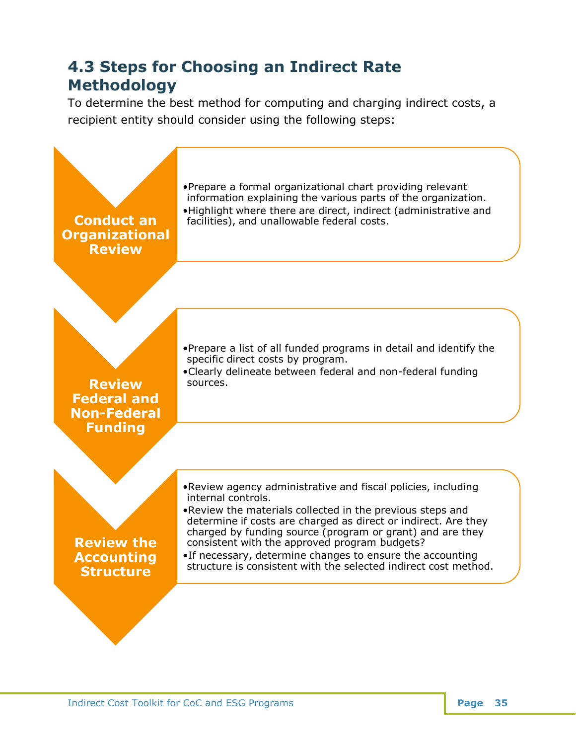# **4.3 Steps for Choosing an Indirect Rate Methodology**

To determine the best method for computing and charging indirect costs, a recipient entity should consider using the following steps:

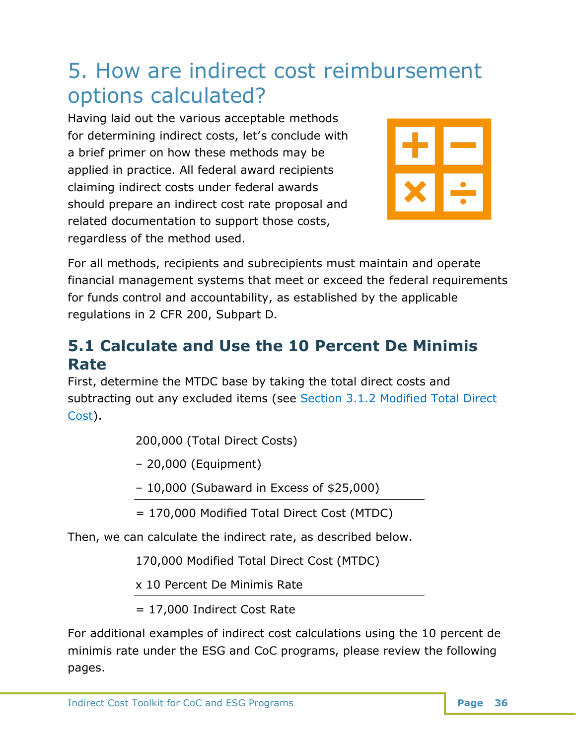# <span id="page-37-0"></span>5. How are indirect cost reimbursement options calculated?

Having laid out the various acceptable methods for determining indirect costs, let's conclude with a brief primer on how these methods may be applied in practice. All federal award recipients claiming indirect costs under federal awards should prepare an indirect cost rate proposal and related documentation to support those costs, regardless of the method used.



For all methods, recipients and subrecipients must maintain and operate financial management systems that meet or exceed the federal requirements for funds control and accountability, as established by the applicable regulations in 2 CFR 200, Subpart D.

# <span id="page-37-1"></span>**5.1 Calculate and Use the 10 Percent De Minimis Rate**

First, determine the MTDC base by taking the total direct costs and subtracting out any excluded items (see Section [3.1.2 Modified Total Direct](#page-15-0)  [Cost\)](#page-15-0).

200,000 (Total Direct Costs)

– 20,000 (Equipment)

– 10,000 (Subaward in Excess of \$25,000)

= 170,000 Modified Total Direct Cost (MTDC)

Then, we can calculate the indirect rate, as described below.

170,000 Modified Total Direct Cost (MTDC)

x 10 Percent De Minimis Rate

= 17,000 Indirect Cost Rate

For additional examples of indirect cost calculations using the 10 percent de minimis rate under the ESG and CoC programs, please review the following pages.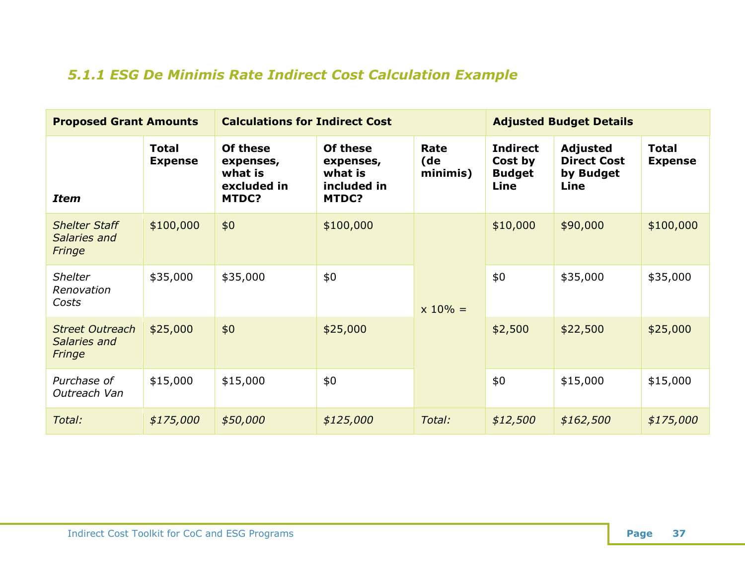# *5.1.1 ESG De Minimis Rate Indirect Cost Calculation Example*

<span id="page-38-0"></span>

| <b>Proposed Grant Amounts</b>                    |                                | <b>Calculations for Indirect Cost</b>                    |                                                          |                         | <b>Adjusted Budget Details</b>                             |                                                            |                                |  |
|--------------------------------------------------|--------------------------------|----------------------------------------------------------|----------------------------------------------------------|-------------------------|------------------------------------------------------------|------------------------------------------------------------|--------------------------------|--|
| <b>Item</b>                                      | <b>Total</b><br><b>Expense</b> | Of these<br>expenses,<br>what is<br>excluded in<br>MTDC? | Of these<br>expenses,<br>what is<br>included in<br>MTDC? | Rate<br>(de<br>minimis) | <b>Indirect</b><br>Cost by<br><b>Budget</b><br><b>Line</b> | <b>Adjusted</b><br><b>Direct Cost</b><br>by Budget<br>Line | <b>Total</b><br><b>Expense</b> |  |
| <b>Shelter Staff</b><br>Salaries and<br>Fringe   | \$100,000                      | \$0                                                      | \$100,000                                                | $x 10% =$               | \$10,000                                                   | \$90,000                                                   | \$100,000                      |  |
| <b>Shelter</b><br>Renovation<br>Costs            | \$35,000                       | \$35,000                                                 | \$0                                                      |                         | \$0                                                        | \$35,000                                                   | \$35,000                       |  |
| <b>Street Outreach</b><br>Salaries and<br>Fringe | \$25,000                       | \$0                                                      | \$25,000                                                 |                         | \$2,500                                                    | \$22,500                                                   | \$25,000                       |  |
| Purchase of<br>Outreach Van                      | \$15,000                       | \$15,000                                                 | \$0                                                      |                         | \$0                                                        | \$15,000                                                   | \$15,000                       |  |
| Total:                                           | \$175,000                      | \$50,000                                                 | \$125,000                                                | Total:                  | \$12,500                                                   | \$162,500                                                  | \$175,000                      |  |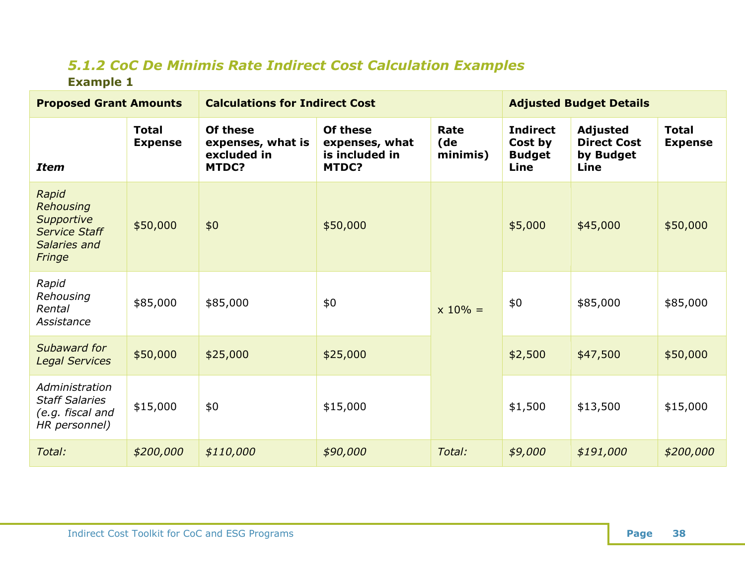# *5.1.2 CoC De Minimis Rate Indirect Cost Calculation Examples* **Example 1**

<span id="page-39-0"></span>

| <b>Proposed Grant Amounts</b>                                                      |                                | <b>Calculations for Indirect Cost</b>                 | <b>Adjusted Budget Details</b>                        |                         |                                                     |                                                            |                                |
|------------------------------------------------------------------------------------|--------------------------------|-------------------------------------------------------|-------------------------------------------------------|-------------------------|-----------------------------------------------------|------------------------------------------------------------|--------------------------------|
| <b>Item</b>                                                                        | <b>Total</b><br><b>Expense</b> | Of these<br>expenses, what is<br>excluded in<br>MTDC? | Of these<br>expenses, what<br>is included in<br>MTDC? | Rate<br>(de<br>minimis) | <b>Indirect</b><br>Cost by<br><b>Budget</b><br>Line | <b>Adjusted</b><br><b>Direct Cost</b><br>by Budget<br>Line | <b>Total</b><br><b>Expense</b> |
| Rapid<br>Rehousing<br>Supportive<br><b>Service Staff</b><br>Salaries and<br>Fringe | \$50,000                       | \$0                                                   | \$50,000                                              | $x 10\% =$              | \$5,000                                             | \$45,000                                                   | \$50,000                       |
| Rapid<br>Rehousing<br>Rental<br>Assistance                                         | \$85,000                       | \$85,000                                              | \$0                                                   |                         | \$0                                                 | \$85,000                                                   | \$85,000                       |
| Subaward for<br><b>Legal Services</b>                                              | \$50,000                       | \$25,000                                              | \$25,000                                              |                         | \$2,500                                             | \$47,500                                                   | \$50,000                       |
| Administration<br><b>Staff Salaries</b><br>(e.g. fiscal and<br>HR personnel)       | \$15,000                       | \$0                                                   | \$15,000                                              |                         | \$1,500                                             | \$13,500                                                   | \$15,000                       |
| Total:                                                                             | \$200,000                      | \$110,000                                             | \$90,000                                              | Total:                  | \$9,000                                             | \$191,000                                                  | \$200,000                      |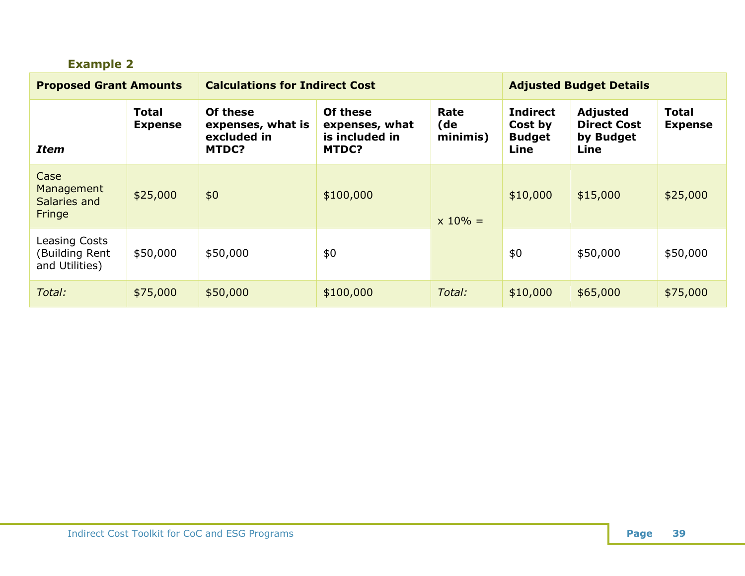| <b>Example 2</b>                                  |                                |                                                              |                                                       |                         |                                                     |                                                     |                                |  |
|---------------------------------------------------|--------------------------------|--------------------------------------------------------------|-------------------------------------------------------|-------------------------|-----------------------------------------------------|-----------------------------------------------------|--------------------------------|--|
| <b>Proposed Grant Amounts</b>                     |                                | <b>Calculations for Indirect Cost</b>                        | <b>Adjusted Budget Details</b>                        |                         |                                                     |                                                     |                                |  |
| <b>Item</b>                                       | <b>Total</b><br><b>Expense</b> | Of these<br>expenses, what is<br>excluded in<br><b>MTDC?</b> | Of these<br>expenses, what<br>is included in<br>MTDC? | Rate<br>(de<br>minimis) | <b>Indirect</b><br>Cost by<br><b>Budget</b><br>Line | Adjusted<br><b>Direct Cost</b><br>by Budget<br>Line | <b>Total</b><br><b>Expense</b> |  |
| Case<br>Management<br>Salaries and<br>Fringe      | \$25,000                       | \$0                                                          | \$100,000                                             | $x 10% =$               | \$10,000                                            | \$15,000                                            | \$25,000                       |  |
| Leasing Costs<br>(Building Rent<br>and Utilities) | \$50,000                       | \$50,000                                                     | \$0                                                   |                         | \$0                                                 | \$50,000                                            | \$50,000                       |  |
| Total:                                            | \$75,000                       | \$50,000                                                     | \$100,000                                             | Total:                  | \$10,000                                            | \$65,000                                            | \$75,000                       |  |

#### **Indirect Cost Toolkit for CoC and ESG Programs <b>Page 39 Page 39**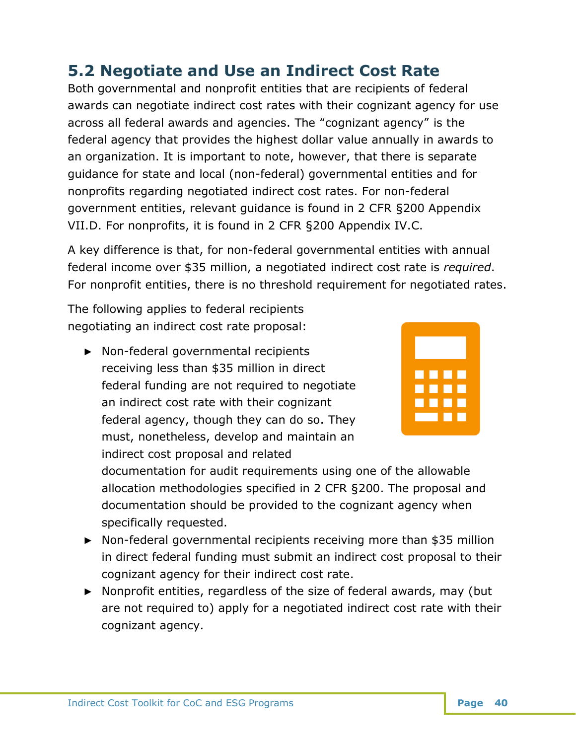# <span id="page-41-0"></span>**5.2 Negotiate and Use an Indirect Cost Rate**

Both governmental and nonprofit entities that are recipients of federal awards can negotiate indirect cost rates with their cognizant agency for use across all federal awards and agencies. The "cognizant agency" is the federal agency that provides the highest dollar value annually in awards to an organization. It is important to note, however, that there is separate guidance for state and local (non-federal) governmental entities and for nonprofits regarding negotiated indirect cost rates. For non-federal government entities, relevant guidance is found in 2 CFR §200 Appendix VII.D. For nonprofits, it is found in 2 CFR §200 Appendix IV.C.

A key difference is that, for non-federal governmental entities with annual federal income over \$35 million, a negotiated indirect cost rate is *required*. For nonprofit entities, there is no threshold requirement for negotiated rates.

The following applies to federal recipients negotiating an indirect cost rate proposal:

► Non-federal governmental recipients receiving less than \$35 million in direct federal funding are not required to negotiate an indirect cost rate with their cognizant federal agency, though they can do so. They must, nonetheless, develop and maintain an indirect cost proposal and related



documentation for audit requirements using one of the allowable allocation methodologies specified in 2 CFR §200. The proposal and documentation should be provided to the cognizant agency when specifically requested.

- ► Non-federal governmental recipients receiving more than \$35 million in direct federal funding must submit an indirect cost proposal to their cognizant agency for their indirect cost rate.
- ► Nonprofit entities, regardless of the size of federal awards, may (but are not required to) apply for a negotiated indirect cost rate with their cognizant agency.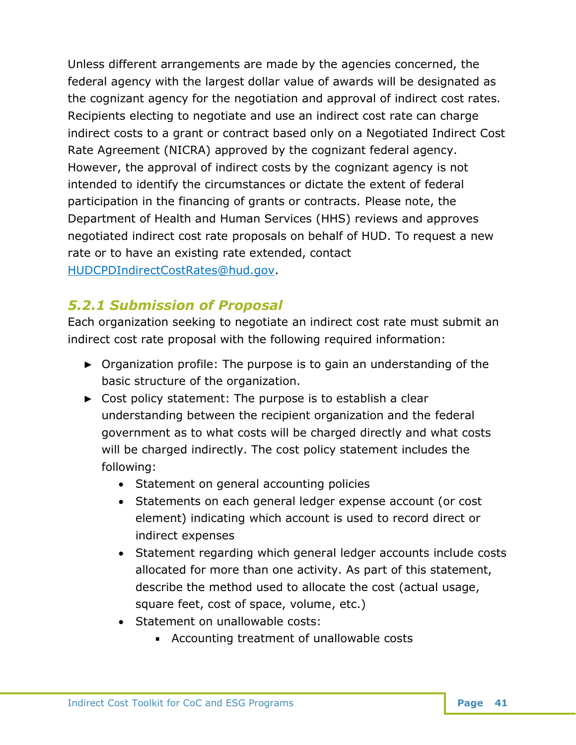Unless different arrangements are made by the agencies concerned, the federal agency with the largest dollar value of awards will be designated as the cognizant agency for the negotiation and approval of indirect cost rates. Recipients electing to negotiate and use an indirect cost rate can charge indirect costs to a grant or contract based only on a Negotiated Indirect Cost Rate Agreement (NICRA) approved by the cognizant federal agency. However, the approval of indirect costs by the cognizant agency is not intended to identify the circumstances or dictate the extent of federal participation in the financing of grants or contracts. Please note, the Department of Health and Human Services (HHS) reviews and approves negotiated indirect cost rate proposals on behalf of HUD. To request a new rate or to have an existing rate extended, contact [HUDCPDIndirectCostRates@hud.gov.](mailto:HUDCPDIndirectCostRates@hud.gov)

# <span id="page-42-0"></span>*5.2.1 Submission of Proposal*

Each organization seeking to negotiate an indirect cost rate must submit an indirect cost rate proposal with the following required information:

- ► Organization profile: The purpose is to gain an understanding of the basic structure of the organization.
- ► Cost policy statement: The purpose is to establish a clear understanding between the recipient organization and the federal government as to what costs will be charged directly and what costs will be charged indirectly. The cost policy statement includes the following:
	- Statement on general accounting policies
	- Statements on each general ledger expense account (or cost element) indicating which account is used to record direct or indirect expenses
	- Statement regarding which general ledger accounts include costs allocated for more than one activity. As part of this statement, describe the method used to allocate the cost (actual usage, square feet, cost of space, volume, etc.)
	- Statement on unallowable costs:
		- Accounting treatment of unallowable costs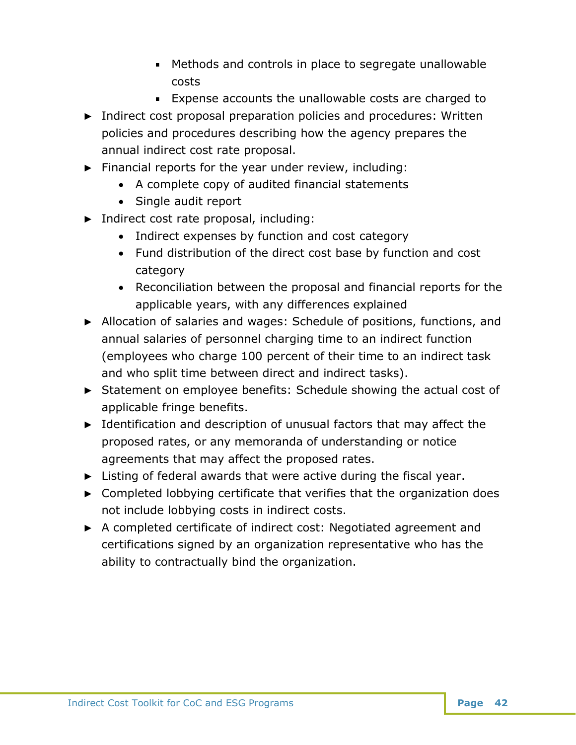- Methods and controls in place to segregate unallowable costs
- Expense accounts the unallowable costs are charged to
- ► Indirect cost proposal preparation policies and procedures: Written policies and procedures describing how the agency prepares the annual indirect cost rate proposal.
- ► Financial reports for the year under review, including:
	- A complete copy of audited financial statements
	- Single audit report
- ► Indirect cost rate proposal, including:
	- Indirect expenses by function and cost category
	- Fund distribution of the direct cost base by function and cost category
	- Reconciliation between the proposal and financial reports for the applicable years, with any differences explained
- ► Allocation of salaries and wages: Schedule of positions, functions, and annual salaries of personnel charging time to an indirect function (employees who charge 100 percent of their time to an indirect task and who split time between direct and indirect tasks).
- ► Statement on employee benefits: Schedule showing the actual cost of applicable fringe benefits.
- ► Identification and description of unusual factors that may affect the proposed rates, or any memoranda of understanding or notice agreements that may affect the proposed rates.
- $\blacktriangleright$  Listing of federal awards that were active during the fiscal year.
- ► Completed lobbying certificate that verifies that the organization does not include lobbying costs in indirect costs.
- ► A completed certificate of indirect cost: Negotiated agreement and certifications signed by an organization representative who has the ability to contractually bind the organization.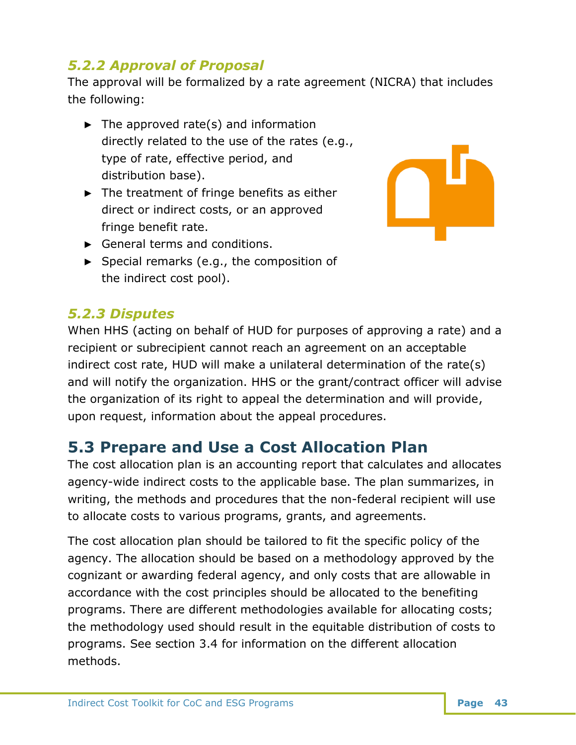# <span id="page-44-0"></span>*5.2.2 Approval of Proposal*

The approval will be formalized by a rate agreement (NICRA) that includes the following:

- $\blacktriangleright$  The approved rate(s) and information directly related to the use of the rates (e.g., type of rate, effective period, and distribution base).
- ► The treatment of fringe benefits as either direct or indirect costs, or an approved fringe benefit rate.



- ► General terms and conditions.
- ► Special remarks (e.g., the composition of the indirect cost pool).

# <span id="page-44-1"></span>*5.2.3 Disputes*

When HHS (acting on behalf of HUD for purposes of approving a rate) and a recipient or subrecipient cannot reach an agreement on an acceptable indirect cost rate, HUD will make a unilateral determination of the rate(s) and will notify the organization. HHS or the grant/contract officer will advise the organization of its right to appeal the determination and will provide, upon request, information about the appeal procedures.

# <span id="page-44-2"></span>**5.3 Prepare and Use a Cost Allocation Plan**

The cost allocation plan is an accounting report that calculates and allocates agency-wide indirect costs to the applicable base. The plan summarizes, in writing, the methods and procedures that the non-federal recipient will use to allocate costs to various programs, grants, and agreements.

The cost allocation plan should be tailored to fit the specific policy of the agency. The allocation should be based on a methodology approved by the cognizant or awarding federal agency, and only costs that are allowable in accordance with the cost principles should be allocated to the benefiting programs. There are different methodologies available for allocating costs; the methodology used should result in the equitable distribution of costs to programs. See section 3.4 for information on the different allocation methods.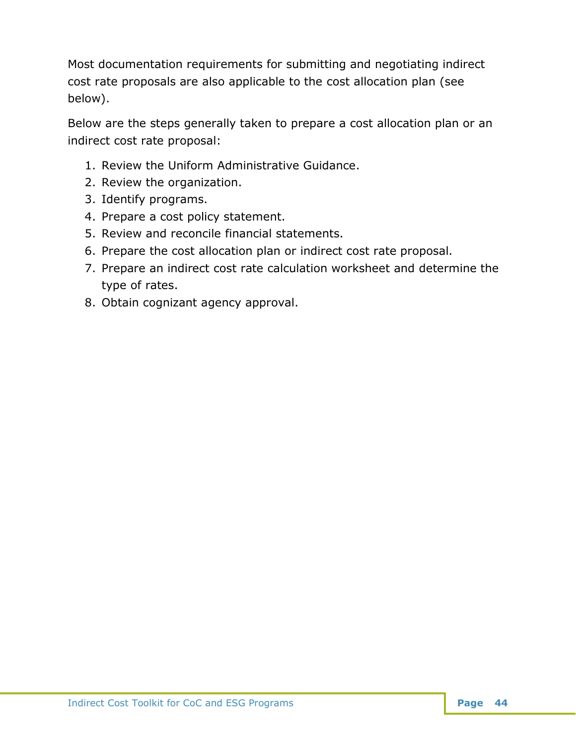Most documentation requirements for submitting and negotiating indirect cost rate proposals are also applicable to the cost allocation plan (see below).

Below are the steps generally taken to prepare a cost allocation plan or an indirect cost rate proposal:

- 1. Review the Uniform Administrative Guidance.
- 2. Review the organization.
- 3. Identify programs.
- 4. Prepare a cost policy statement.
- 5. Review and reconcile financial statements.
- 6. Prepare the cost allocation plan or indirect cost rate proposal.
- 7. Prepare an indirect cost rate calculation worksheet and determine the type of rates.
- 8. Obtain cognizant agency approval.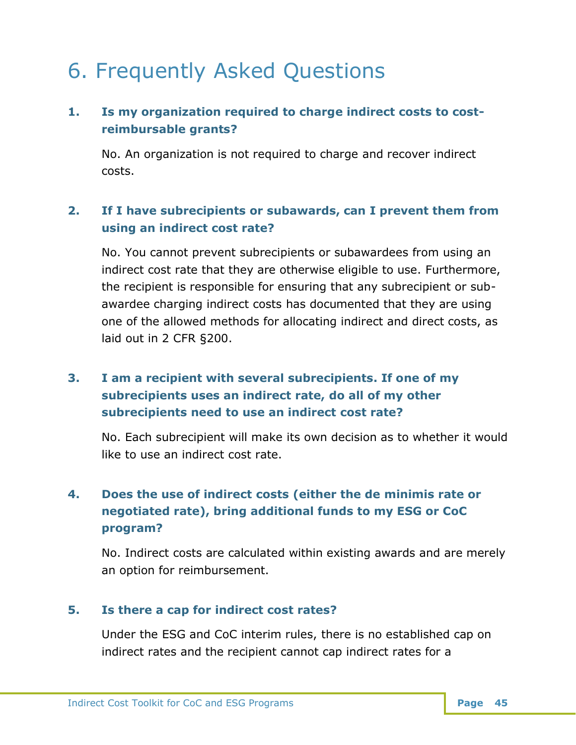# <span id="page-46-0"></span>6. Frequently Asked Questions

## **1. Is my organization required to charge indirect costs to costreimbursable grants?**

No. An organization is not required to charge and recover indirect costs.

## **2. If I have subrecipients or subawards, can I prevent them from using an indirect cost rate?**

No. You cannot prevent subrecipients or subawardees from using an indirect cost rate that they are otherwise eligible to use. Furthermore, the recipient is responsible for ensuring that any subrecipient or subawardee charging indirect costs has documented that they are using one of the allowed methods for allocating indirect and direct costs, as laid out in 2 CFR §200.

## **3. I am a recipient with several subrecipients. If one of my subrecipients uses an indirect rate, do all of my other subrecipients need to use an indirect cost rate?**

No. Each subrecipient will make its own decision as to whether it would like to use an indirect cost rate.

# **4. Does the use of indirect costs (either the de minimis rate or negotiated rate), bring additional funds to my ESG or CoC program?**

No. Indirect costs are calculated within existing awards and are merely an option for reimbursement.

## **5. Is there a cap for indirect cost rates?**

Under the ESG and CoC interim rules, there is no established cap on indirect rates and the recipient cannot cap indirect rates for a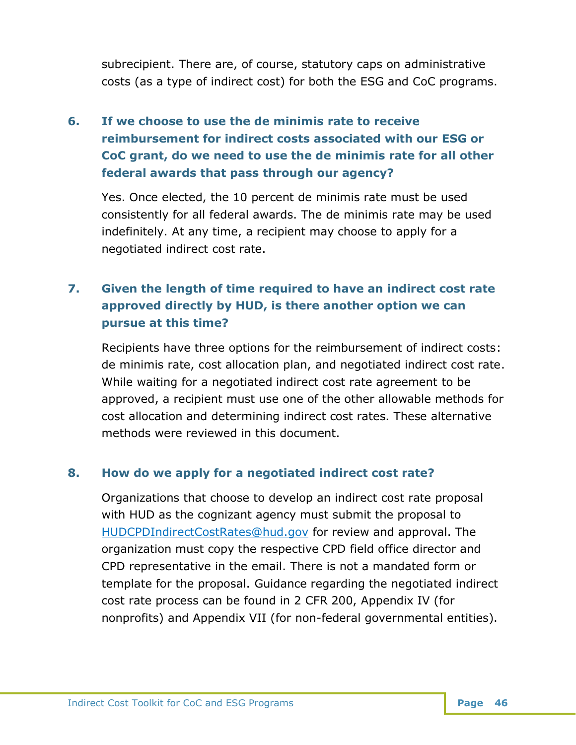subrecipient. There are, of course, statutory caps on administrative costs (as a type of indirect cost) for both the ESG and CoC programs.

# **6. If we choose to use the de minimis rate to receive reimbursement for indirect costs associated with our ESG or CoC grant, do we need to use the de minimis rate for all other federal awards that pass through our agency?**

Yes. Once elected, the 10 percent de minimis rate must be used consistently for all federal awards. The de minimis rate may be used indefinitely. At any time, a recipient may choose to apply for a negotiated indirect cost rate.

## **7. Given the length of time required to have an indirect cost rate approved directly by HUD, is there another option we can pursue at this time?**

Recipients have three options for the reimbursement of indirect costs: de minimis rate, cost allocation plan, and negotiated indirect cost rate. While waiting for a negotiated indirect cost rate agreement to be approved, a recipient must use one of the other allowable methods for cost allocation and determining indirect cost rates. These alternative methods were reviewed in this document.

## **8. How do we apply for a negotiated indirect cost rate?**

Organizations that choose to develop an indirect cost rate proposal with HUD as the cognizant agency must submit the proposal to [HUDCPDIndirectCostRates@hud.gov](mailto:HUDCPDIndirectCostRates@hud.govHUDCPDIndirectCostRates@hud.gov) for review and approval. The organization must copy the respective CPD field office director and CPD representative in the email. There is not a mandated form or template for the proposal. Guidance regarding the negotiated indirect cost rate process can be found in 2 CFR 200, Appendix IV (for nonprofits) and Appendix VII (for non-federal governmental entities).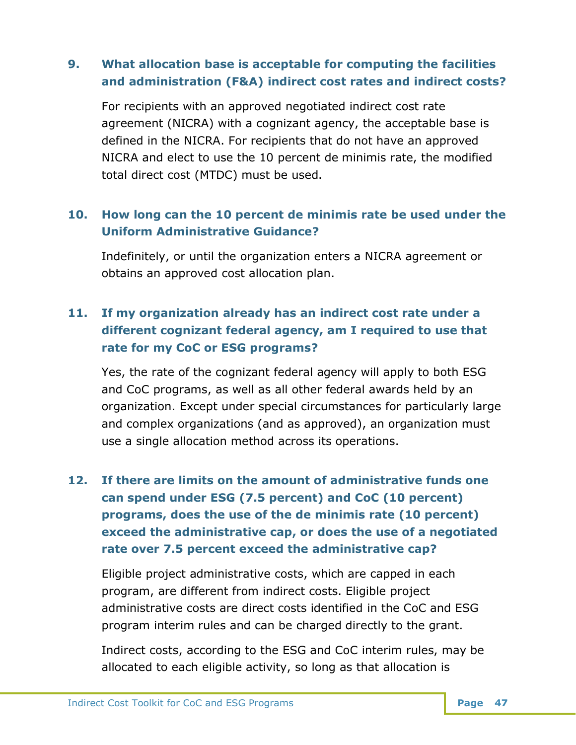## **9. What allocation base is acceptable for computing the facilities and administration (F&A) indirect cost rates and indirect costs?**

For recipients with an approved negotiated indirect cost rate agreement (NICRA) with a cognizant agency, the acceptable base is defined in the NICRA. For recipients that do not have an approved NICRA and elect to use the 10 percent de minimis rate, the modified total direct cost (MTDC) must be used.

## **10. How long can the 10 percent de minimis rate be used under the Uniform Administrative Guidance?**

Indefinitely, or until the organization enters a NICRA agreement or obtains an approved cost allocation plan.

## **11. If my organization already has an indirect cost rate under a different cognizant federal agency, am I required to use that rate for my CoC or ESG programs?**

Yes, the rate of the cognizant federal agency will apply to both ESG and CoC programs, as well as all other federal awards held by an organization. Except under special circumstances for particularly large and complex organizations (and as approved), an organization must use a single allocation method across its operations.

# **12. If there are limits on the amount of administrative funds one can spend under ESG (7.5 percent) and CoC (10 percent) programs, does the use of the de minimis rate (10 percent) exceed the administrative cap, or does the use of a negotiated rate over 7.5 percent exceed the administrative cap?**

Eligible project administrative costs, which are capped in each program, are different from indirect costs. Eligible project administrative costs are direct costs identified in the CoC and ESG program interim rules and can be charged directly to the grant.

Indirect costs, according to the ESG and CoC interim rules, may be allocated to each eligible activity, so long as that allocation is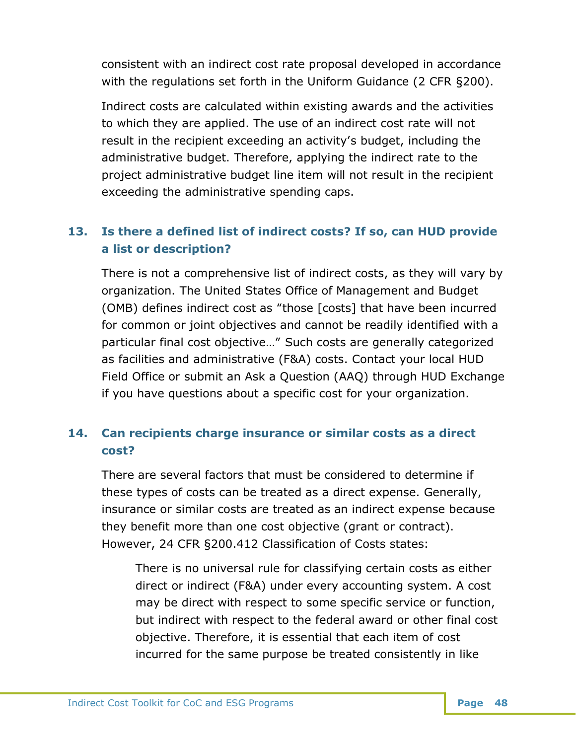consistent with an indirect cost rate proposal developed in accordance with the regulations set forth in the Uniform Guidance (2 CFR §200).

Indirect costs are calculated within existing awards and the activities to which they are applied. The use of an indirect cost rate will not result in the recipient exceeding an activity's budget, including the administrative budget. Therefore, applying the indirect rate to the project administrative budget line item will not result in the recipient exceeding the administrative spending caps.

## **13. Is there a defined list of indirect costs? If so, can HUD provide a list or description?**

There is not a comprehensive list of indirect costs, as they will vary by organization. The United States Office of Management and Budget (OMB) defines indirect cost as "those [costs] that have been incurred for common or joint objectives and cannot be readily identified with a particular final cost objective…" Such costs are generally categorized as facilities and administrative (F&A) costs. Contact your local HUD Field Office or submit an Ask a Question (AAQ) through HUD Exchange if you have questions about a specific cost for your organization.

## **14. Can recipients charge insurance or similar costs as a direct cost?**

There are several factors that must be considered to determine if these types of costs can be treated as a direct expense. Generally, insurance or similar costs are treated as an indirect expense because they benefit more than one cost objective (grant or contract). However, 24 CFR §200.412 Classification of Costs states:

There is no universal rule for classifying certain costs as either direct or indirect (F&A) under every accounting system. A cost may be direct with respect to some specific service or function, but indirect with respect to the federal award or other final cost objective. Therefore, it is essential that each item of cost incurred for the same purpose be treated consistently in like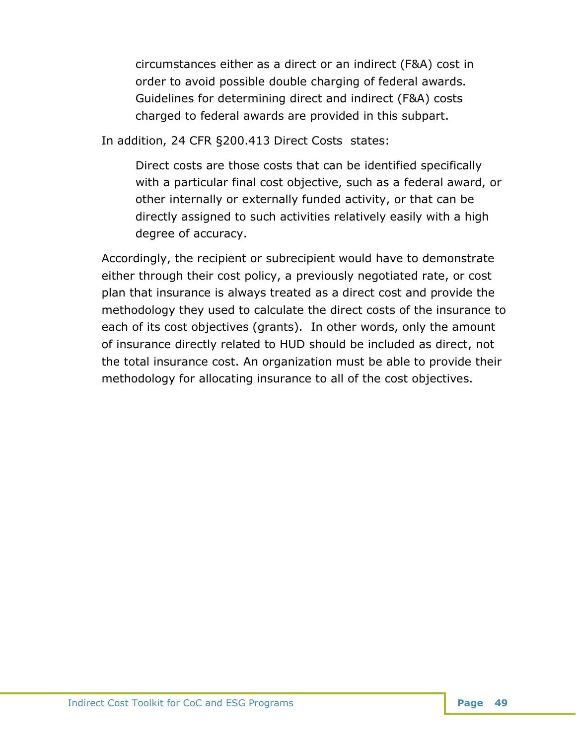circumstances either as a direct or an indirect (F&A) cost in order to avoid possible double charging of federal awards. Guidelines for determining direct and indirect (F&A) costs charged to federal awards are provided in this subpart.

In addition, 24 CFR §200.413 Direct Costs states:

Direct costs are those costs that can be identified specifically with a particular final cost objective, such as a federal award, or other internally or externally funded activity, or that can be directly assigned to such activities relatively easily with a high degree of accuracy.

Accordingly, the recipient or subrecipient would have to demonstrate either through their cost policy, a previously negotiated rate, or cost plan that insurance is always treated as a direct cost and provide the methodology they used to calculate the direct costs of the insurance to each of its cost objectives (grants). In other words, only the amount of insurance directly related to HUD should be included as direct, not the total insurance cost. An organization must be able to provide their methodology for allocating insurance to all of the cost objectives.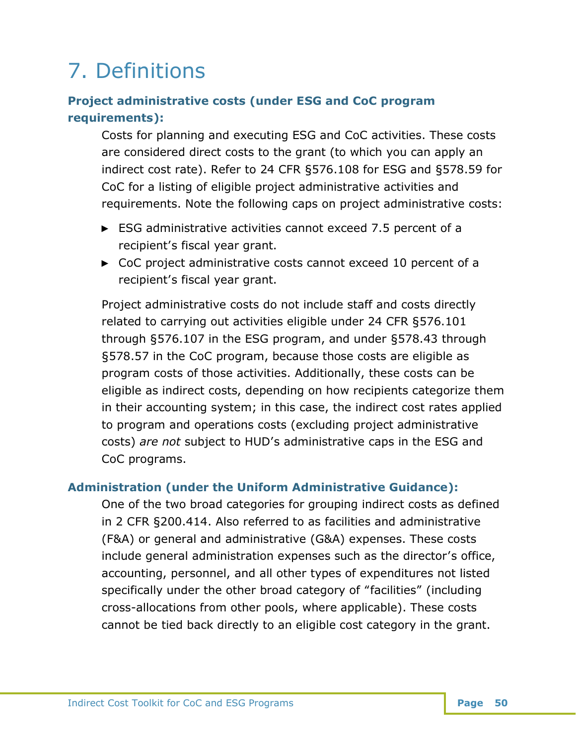# <span id="page-51-0"></span>7. Definitions

## **Project administrative costs (under ESG and CoC program requirements):**

Costs for planning and executing ESG and CoC activities. These costs are considered direct costs to the grant (to which you can apply an indirect cost rate). Refer to 24 CFR §576.108 for ESG and §578.59 for CoC for a listing of eligible project administrative activities and requirements. Note the following caps on project administrative costs:

- ► ESG administrative activities cannot exceed 7.5 percent of a recipient's fiscal year grant.
- ► CoC project administrative costs cannot exceed 10 percent of a recipient's fiscal year grant.

Project administrative costs do not include staff and costs directly related to carrying out activities eligible under 24 CFR §576.101 through §576.107 in the ESG program, and under §578.43 through §578.57 in the CoC program, because those costs are eligible as program costs of those activities. Additionally, these costs can be eligible as indirect costs, depending on how recipients categorize them in their accounting system; in this case, the indirect cost rates applied to program and operations costs (excluding project administrative costs) *are not* subject to HUD's administrative caps in the ESG and CoC programs.

## **Administration (under the Uniform Administrative Guidance):**

One of the two broad categories for grouping indirect costs as defined in 2 CFR §200.414. Also referred to as facilities and administrative (F&A) or general and administrative (G&A) expenses. These costs include general administration expenses such as the director's office, accounting, personnel, and all other types of expenditures not listed specifically under the other broad category of "facilities" (including cross-allocations from other pools, where applicable). These costs cannot be tied back directly to an eligible cost category in the grant.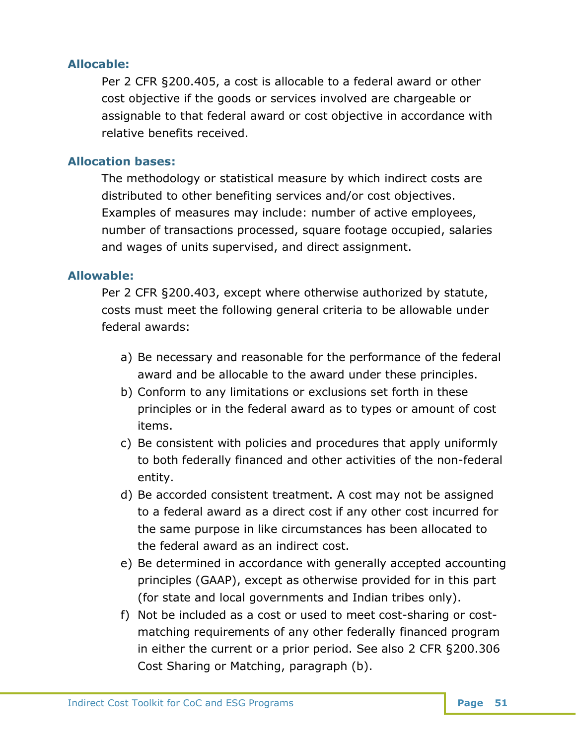### **Allocable:**

Per 2 CFR §200.405, a cost is allocable to a federal award or other cost objective if the goods or services involved are chargeable or assignable to that federal award or cost objective in accordance with relative benefits received.

### **Allocation bases:**

The methodology or statistical measure by which indirect costs are distributed to other benefiting services and/or cost objectives. Examples of measures may include: number of active employees, number of transactions processed, square footage occupied, salaries and wages of units supervised, and direct assignment.

## **Allowable:**

Per 2 CFR §200.403, except where otherwise authorized by statute, costs must meet the following general criteria to be allowable under federal awards:

- a) Be necessary and reasonable for the performance of the federal award and be allocable to the award under these principles.
- b) Conform to any limitations or exclusions set forth in these principles or in the federal award as to types or amount of cost items.
- c) Be consistent with policies and procedures that apply uniformly to both federally financed and other activities of the non-federal entity.
- d) Be accorded consistent treatment. A cost may not be assigned to a federal award as a direct cost if any other cost incurred for the same purpose in like circumstances has been allocated to the federal award as an indirect cost.
- e) Be determined in accordance with generally accepted accounting principles (GAAP), except as otherwise provided for in this part (for state and local governments and Indian tribes only).
- f) Not be included as a cost or used to meet cost-sharing or costmatching requirements of any other federally financed program in either the current or a prior period. See also 2 CFR §200.306 Cost Sharing or Matching, paragraph (b).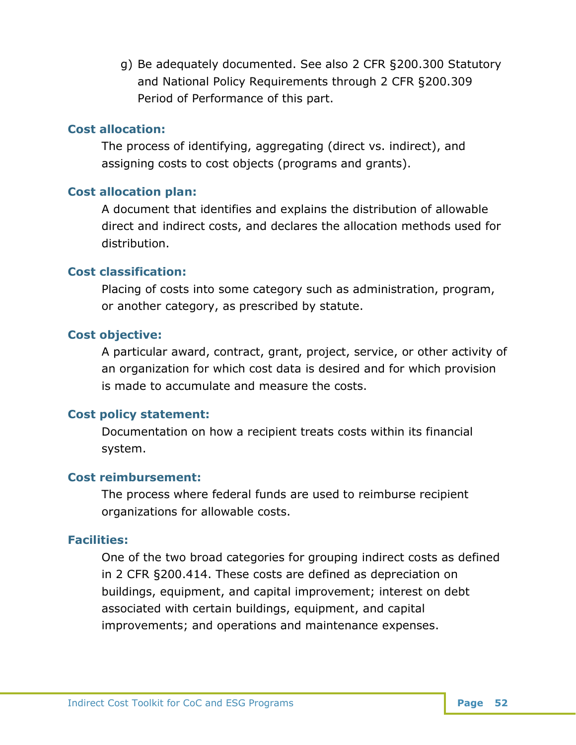g) Be adequately documented. See also 2 CFR §200.300 Statutory and National Policy Requirements through 2 CFR §200.309 Period of Performance of this part.

#### **Cost allocation:**

The process of identifying, aggregating (direct vs. indirect), and assigning costs to cost objects (programs and grants).

### **Cost allocation plan:**

A document that identifies and explains the distribution of allowable direct and indirect costs, and declares the allocation methods used for distribution.

#### **Cost classification:**

Placing of costs into some category such as administration, program, or another category, as prescribed by statute.

#### **Cost objective:**

A particular award, contract, grant, project, service, or other activity of an organization for which cost data is desired and for which provision is made to accumulate and measure the costs.

## **Cost policy statement:**

Documentation on how a recipient treats costs within its financial system.

#### **Cost reimbursement:**

The process where federal funds are used to reimburse recipient organizations for allowable costs.

#### **Facilities:**

One of the two broad categories for grouping indirect costs as defined in 2 CFR §200.414. These costs are defined as depreciation on buildings, equipment, and capital improvement; interest on debt associated with certain buildings, equipment, and capital improvements; and operations and maintenance expenses.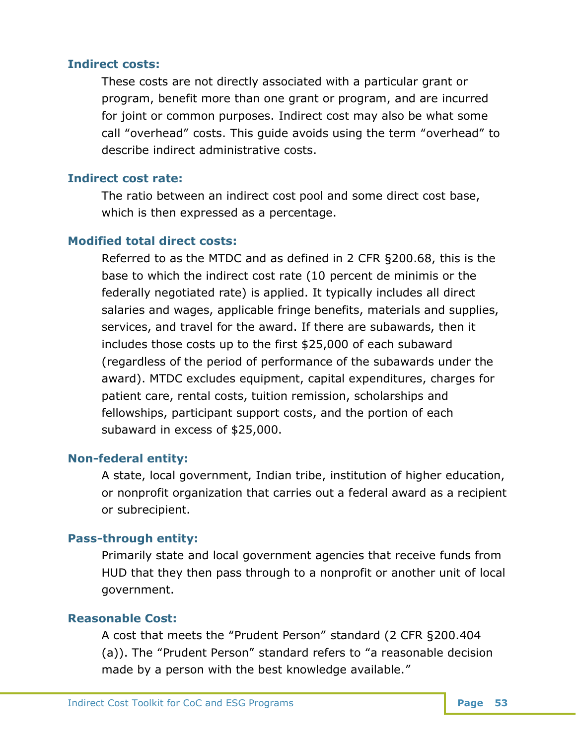#### **Indirect costs:**

These costs are not directly associated with a particular grant or program, benefit more than one grant or program, and are incurred for joint or common purposes. Indirect cost may also be what some call "overhead" costs. This guide avoids using the term "overhead" to describe indirect administrative costs.

#### **Indirect cost rate:**

The ratio between an indirect cost pool and some direct cost base, which is then expressed as a percentage.

#### **Modified total direct costs:**

Referred to as the MTDC and as defined in 2 CFR §200.68, this is the base to which the indirect cost rate (10 percent de minimis or the federally negotiated rate) is applied. It typically includes all direct salaries and wages, applicable fringe benefits, materials and supplies, services, and travel for the award. If there are subawards, then it includes those costs up to the first \$25,000 of each subaward (regardless of the period of performance of the subawards under the award). MTDC excludes equipment, capital expenditures, charges for patient care, rental costs, tuition remission, scholarships and fellowships, participant support costs, and the portion of each subaward in excess of \$25,000.

#### **Non-federal entity:**

A state, local government, Indian tribe, institution of higher education, or nonprofit organization that carries out a federal award as a recipient or subrecipient.

#### **Pass-through entity:**

Primarily state and local government agencies that receive funds from HUD that they then pass through to a nonprofit or another unit of local government.

#### **Reasonable Cost:**

A cost that meets the "Prudent Person" standard (2 CFR §200.404 (a)). The "Prudent Person" standard refers to "a reasonable decision made by a person with the best knowledge available."